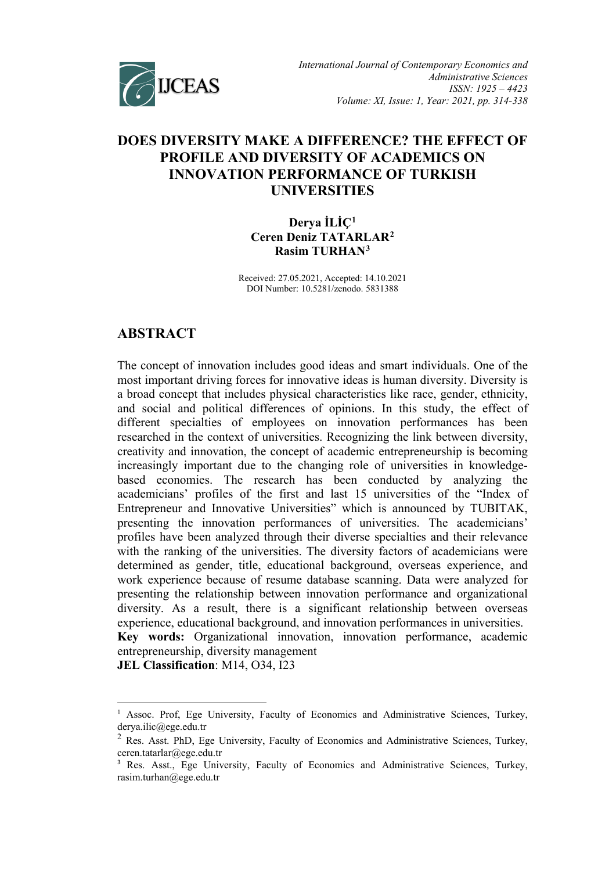

# **DOES DIVERSITY MAKE A DIFFERENCE? THE EFFECT OF PROFILE AND DIVERSITY OF ACADEMICS ON INNOVATION PERFORMANCE OF TURKISH UNIVERSITIES**

**Derya İLİÇ[1](#page-0-0) Ceren Deniz TATARLAR[2](#page-0-1) Rasim TURHAN[3](#page-0-2)**

Received: 27.05.2021, Accepted: 14.10.2021 DOI Number: 10.5281/zenodo. 5831388

# **ABSTRACT**

The concept of innovation includes good ideas and smart individuals. One of the most important driving forces for innovative ideas is human diversity. Diversity is a broad concept that includes physical characteristics like race, gender, ethnicity, and social and political differences of opinions. In this study, the effect of different specialties of employees on innovation performances has been researched in the context of universities. Recognizing the link between diversity, creativity and innovation, the concept of academic entrepreneurship is becoming increasingly important due to the changing role of universities in knowledgebased economies. The research has been conducted by analyzing the academicians' profiles of the first and last 15 universities of the "Index of Entrepreneur and Innovative Universities" which is announced by TUBITAK, presenting the innovation performances of universities. The academicians' profiles have been analyzed through their diverse specialties and their relevance with the ranking of the universities. The diversity factors of academicians were determined as gender, title, educational background, overseas experience, and work experience because of resume database scanning. Data were analyzed for presenting the relationship between innovation performance and organizational diversity. As a result, there is a significant relationship between overseas experience, educational background, and innovation performances in universities. **Key words:** Organizational innovation, innovation performance, academic entrepreneurship, diversity management **JEL Classification**: M14, O34, I23

<span id="page-0-0"></span> $<sup>1</sup>$  Assoc. Prof, Ege University, Faculty of Economics and Administrative Sciences, Turkey,</sup> derya.ilic@ege.edu.tr

<span id="page-0-1"></span><sup>&</sup>lt;sup>2</sup> Res. Asst. PhD, Ege University, Faculty of Economics and Administrative Sciences, Turkey, ceren.tatarlar@ege.edu.tr

<span id="page-0-2"></span><sup>&</sup>lt;sup>3</sup> Res. Asst., Ege University, Faculty of Economics and Administrative Sciences, Turkey, rasim.turhan@ege.edu.tr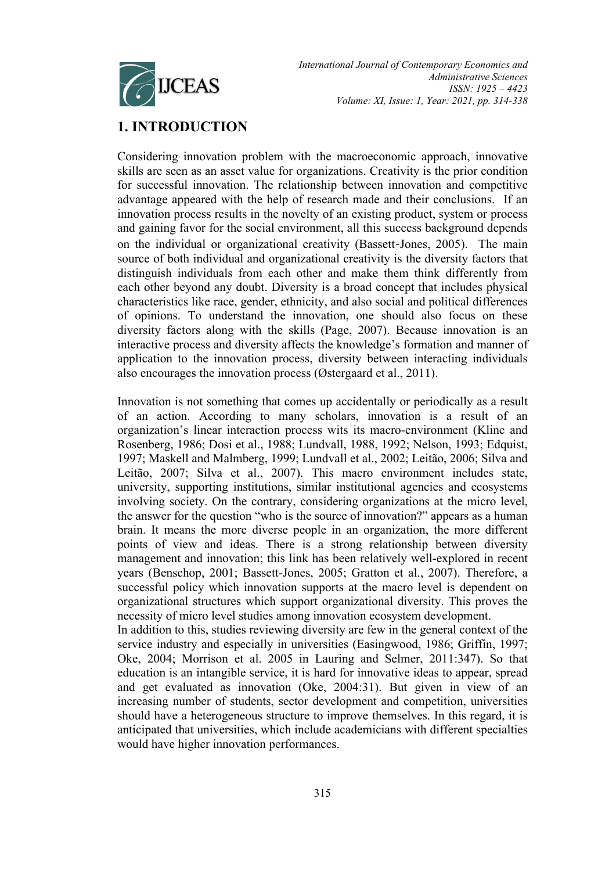

# **1. INTRODUCTION**

Considering innovation problem with the macroeconomic approach, innovative skills are seen as an asset value for organizations. Creativity is the prior condition for successful innovation. The relationship between innovation and competitive advantage appeared with the help of research made and their conclusions. If an innovation process results in the novelty of an existing product, system or process and gaining favor for the social environment, all this success background depends on the individual or organizational creativity (Bassett‐Jones, 2005). The main source of both individual and organizational creativity is the diversity factors that distinguish individuals from each other and make them think differently from each other beyond any doubt. Diversity is a broad concept that includes physical characteristics like race, gender, ethnicity, and also social and political differences of opinions. To understand the innovation, one should also focus on these diversity factors along with the skills (Page, 2007). Because innovation is an interactive process and diversity affects the knowledge's formation and manner of application to the innovation process, diversity between interacting individuals also encourages the innovation process (Østergaard et al., 2011).

Innovation is not something that comes up accidentally or periodically as a result of an action. According to many scholars, innovation is a result of an organization's linear interaction process wits its macro-environment (Kline and Rosenberg, 1986; Dosi et al., 1988; Lundvall, 1988, 1992; Nelson, 1993; Edquist, 1997; Maskell and Malmberg, 1999; Lundvall et al., 2002; Leitão, 2006; Silva and Leitão, 2007; Silva et al., 2007). This macro environment includes state, university, supporting institutions, similar institutional agencies and ecosystems involving society. On the contrary, considering organizations at the micro level, the answer for the question "who is the source of innovation?" appears as a human brain. It means the more diverse people in an organization, the more different points of view and ideas. There is a strong relationship between diversity management and innovation; this link has been relatively well-explored in recent years (Benschop, 2001; Bassett-Jones, 2005; Gratton et al., 2007). Therefore, a successful policy which innovation supports at the macro level is dependent on organizational structures which support organizational diversity. This proves the necessity of micro level studies among innovation ecosystem development.

In addition to this, studies reviewing diversity are few in the general context of the service industry and especially in universities (Easingwood, 1986; Griffin, 1997; Oke, 2004; Morrison et al. 2005 in Lauring and Selmer, 2011:347). So that education is an intangible service, it is hard for innovative ideas to appear, spread and get evaluated as innovation (Oke, 2004:31). But given in view of an increasing number of students, sector development and competition, universities should have a heterogeneous structure to improve themselves. In this regard, it is anticipated that universities, which include academicians with different specialties would have higher innovation performances.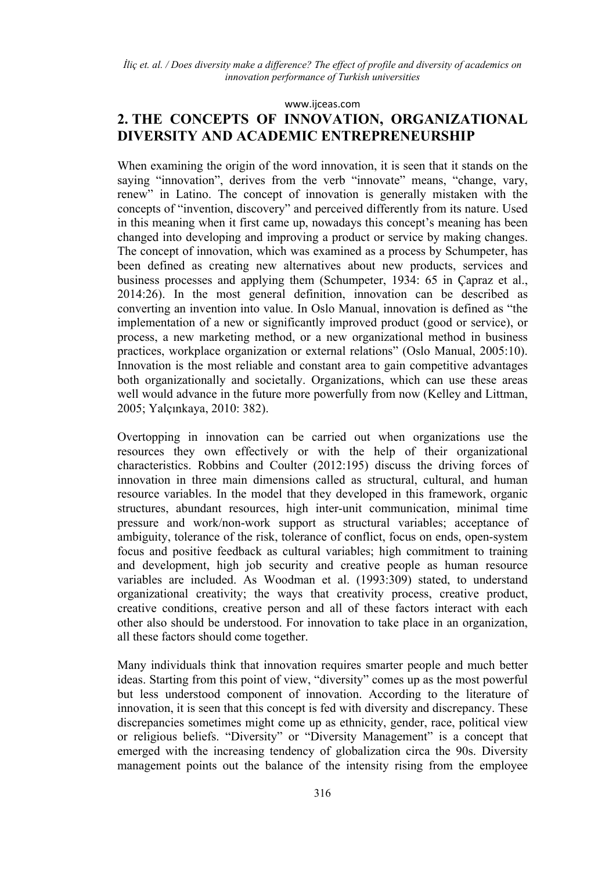#### [www.ijceas.com](http://www.ijceas.com/)

# **2. THE CONCEPTS OF INNOVATION, ORGANIZATIONAL DIVERSITY AND ACADEMIC ENTREPRENEURSHIP**

When examining the origin of the word innovation, it is seen that it stands on the saying "innovation", derives from the verb "innovate" means, "change, vary, renew" in Latino. The concept of innovation is generally mistaken with the concepts of "invention, discovery" and perceived differently from its nature. Used in this meaning when it first came up, nowadays this concept's meaning has been changed into developing and improving a product or service by making changes. The concept of innovation, which was examined as a process by Schumpeter, has been defined as creating new alternatives about new products, services and business processes and applying them (Schumpeter, 1934: 65 in Çapraz et al., 2014:26). In the most general definition, innovation can be described as converting an invention into value. In Oslo Manual, innovation is defined as "the implementation of a new or significantly improved product (good or service), or process, a new marketing method, or a new organizational method in business practices, workplace organization or external relations" (Oslo Manual, 2005:10). Innovation is the most reliable and constant area to gain competitive advantages both organizationally and societally. Organizations, which can use these areas well would advance in the future more powerfully from now (Kelley and Littman, 2005; Yalçınkaya, 2010: 382).

Overtopping in innovation can be carried out when organizations use the resources they own effectively or with the help of their organizational characteristics. Robbins and Coulter (2012:195) discuss the driving forces of innovation in three main dimensions called as structural, cultural, and human resource variables. In the model that they developed in this framework, organic structures, abundant resources, high inter-unit communication, minimal time pressure and work/non-work support as structural variables; acceptance of ambiguity, tolerance of the risk, tolerance of conflict, focus on ends, open-system focus and positive feedback as cultural variables; high commitment to training and development, high job security and creative people as human resource variables are included. As Woodman et al. (1993:309) stated, to understand organizational creativity; the ways that creativity process, creative product, creative conditions, creative person and all of these factors interact with each other also should be understood. For innovation to take place in an organization, all these factors should come together.

Many individuals think that innovation requires smarter people and much better ideas. Starting from this point of view, "diversity" comes up as the most powerful but less understood component of innovation. According to the literature of innovation, it is seen that this concept is fed with diversity and discrepancy. These discrepancies sometimes might come up as ethnicity, gender, race, political view or religious beliefs. "Diversity" or "Diversity Management" is a concept that emerged with the increasing tendency of globalization circa the 90s. Diversity management points out the balance of the intensity rising from the employee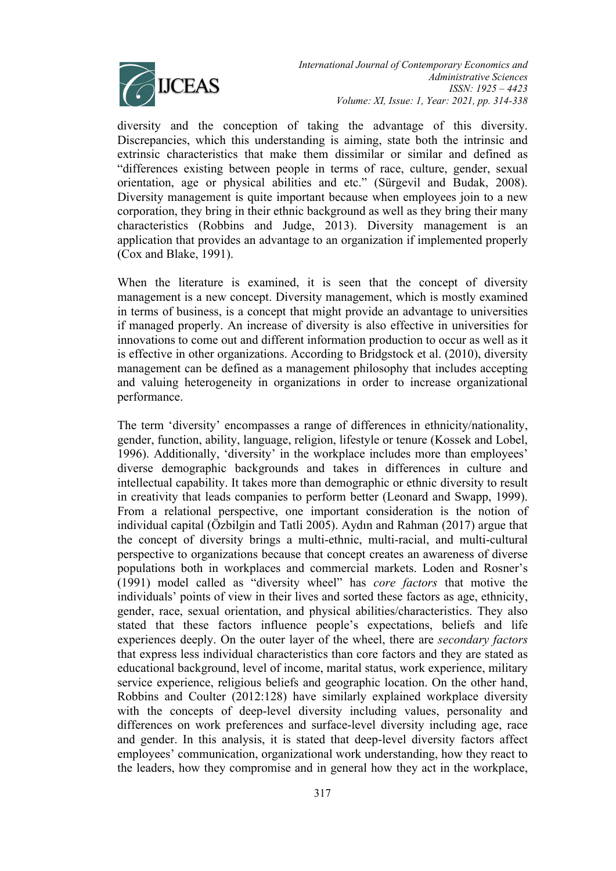

*International Journal of Contemporary Economics and Administrative Sciences ISSN: 1925 – 4423 Volume: XI, Issue: 1, Year: 2021, pp. 314-338*

diversity and the conception of taking the advantage of this diversity. Discrepancies, which this understanding is aiming, state both the intrinsic and extrinsic characteristics that make them dissimilar or similar and defined as "differences existing between people in terms of race, culture, gender, sexual orientation, age or physical abilities and etc." (Sürgevil and Budak, 2008). Diversity management is quite important because when employees join to a new corporation, they bring in their ethnic background as well as they bring their many characteristics (Robbins and Judge, 2013). Diversity management is an application that provides an advantage to an organization if implemented properly (Cox and Blake, 1991).

When the literature is examined, it is seen that the concept of diversity management is a new concept. Diversity management, which is mostly examined in terms of business, is a concept that might provide an advantage to universities if managed properly. An increase of diversity is also effective in universities for innovations to come out and different information production to occur as well as it is effective in other organizations. According to Bridgstock et al. (2010), diversity management can be defined as a management philosophy that includes accepting and valuing heterogeneity in organizations in order to increase organizational performance.

The term 'diversity' encompasses a range of differences in ethnicity/nationality, gender, function, ability, language, religion, lifestyle or tenure (Kossek and Lobel, 1996). Additionally, 'diversity' in the workplace includes more than employees' diverse demographic backgrounds and takes in differences in culture and intellectual capability. It takes more than demographic or ethnic diversity to result in creativity that leads companies to perform better (Leonard and Swapp, 1999). From a relational perspective, one important consideration is the notion of individual capital (Özbilgin and Tatli 2005). Aydın and Rahman (2017) argue that the concept of diversity brings a multi-ethnic, multi-racial, and multi-cultural perspective to organizations because that concept creates an awareness of diverse populations both in workplaces and commercial markets. Loden and Rosner's (1991) model called as "diversity wheel" has *core factors* that motive the individuals' points of view in their lives and sorted these factors as age, ethnicity, gender, race, sexual orientation, and physical abilities/characteristics. They also stated that these factors influence people's expectations, beliefs and life experiences deeply. On the outer layer of the wheel, there are *secondary factors*  that express less individual characteristics than core factors and they are stated as educational background, level of income, marital status, work experience, military service experience, religious beliefs and geographic location. On the other hand, Robbins and Coulter (2012:128) have similarly explained workplace diversity with the concepts of deep-level diversity including values, personality and differences on work preferences and surface-level diversity including age, race and gender. In this analysis, it is stated that deep-level diversity factors affect employees' communication, organizational work understanding, how they react to the leaders, how they compromise and in general how they act in the workplace,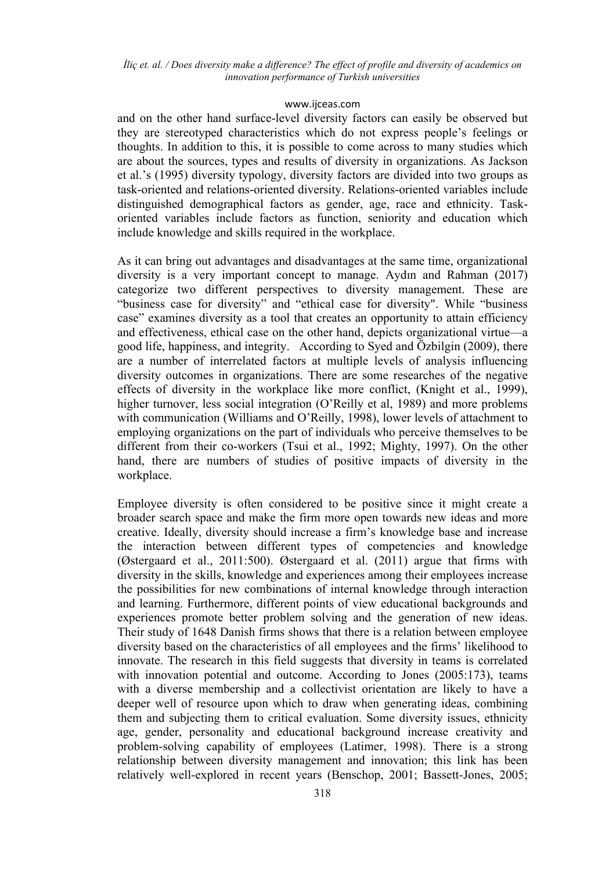### [www.ijceas.com](http://www.ijceas.com/)

and on the other hand surface-level diversity factors can easily be observed but they are stereotyped characteristics which do not express people's feelings or thoughts. In addition to this, it is possible to come across to many studies which are about the sources, types and results of diversity in organizations. As Jackson et al.'s (1995) diversity typology, diversity factors are divided into two groups as task-oriented and relations-oriented diversity. Relations-oriented variables include distinguished demographical factors as gender, age, race and ethnicity. Taskoriented variables include factors as function, seniority and education which include knowledge and skills required in the workplace.

As it can bring out advantages and disadvantages at the same time, organizational diversity is a very important concept to manage. Aydın and Rahman (2017) categorize two different perspectives to diversity management. These are "business case for diversity" and "ethical case for diversity". While "business case" examines diversity as a tool that creates an opportunity to attain efficiency and effectiveness, ethical case on the other hand, depicts organizational virtue—a good life, happiness, and integrity. According to Syed and Özbilgin (2009), there are a number of interrelated factors at multiple levels of analysis influencing diversity outcomes in organizations. There are some researches of the negative effects of diversity in the workplace like more conflict, (Knight et al., 1999), higher turnover, less social integration (O'Reilly et al, 1989) and more problems with communication (Williams and O'Reilly, 1998), lower levels of attachment to employing organizations on the part of individuals who perceive themselves to be different from their co-workers (Tsui et al., 1992; Mighty, 1997). On the other hand, there are numbers of studies of positive impacts of diversity in the workplace.

Employee diversity is often considered to be positive since it might create a broader search space and make the firm more open towards new ideas and more creative. Ideally, diversity should increase a firm's knowledge base and increase the interaction between different types of competencies and knowledge (Østergaard et al., 2011:500). Østergaard et al. (2011) argue that firms with diversity in the skills, knowledge and experiences among their employees increase the possibilities for new combinations of internal knowledge through interaction and learning. Furthermore, different points of view educational backgrounds and experiences promote better problem solving and the generation of new ideas. Their study of 1648 Danish firms shows that there is a relation between employee diversity based on the characteristics of all employees and the firms' likelihood to innovate. The research in this field suggests that diversity in teams is correlated with innovation potential and outcome. According to Jones (2005:173), teams with a diverse membership and a collectivist orientation are likely to have a deeper well of resource upon which to draw when generating ideas, combining them and subjecting them to critical evaluation. Some diversity issues, ethnicity age, gender, personality and educational background increase creativity and problem-solving capability of employees (Latimer, 1998). There is a strong relationship between diversity management and innovation; this link has been relatively well-explored in recent years (Benschop, 2001; Bassett-Jones, 2005;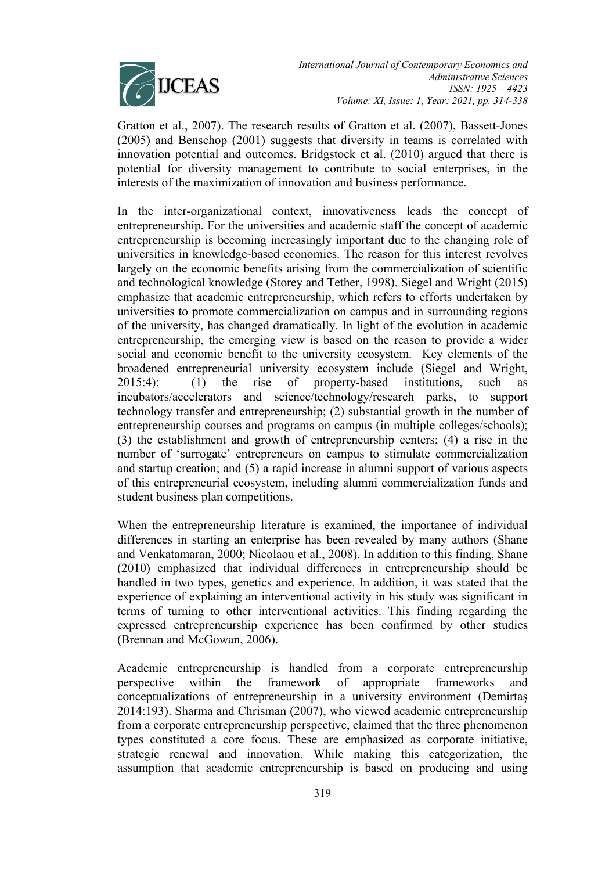

Gratton et al., 2007). The research results of Gratton et al. (2007), Bassett-Jones (2005) and Benschop (2001) suggests that diversity in teams is correlated with innovation potential and outcomes. Bridgstock et al. (2010) argued that there is potential for diversity management to contribute to social enterprises, in the interests of the maximization of innovation and business performance.

In the inter-organizational context, innovativeness leads the concept of entrepreneurship. For the universities and academic staff the concept of academic entrepreneurship is becoming increasingly important due to the changing role of universities in knowledge-based economies. The reason for this interest revolves largely on the economic benefits arising from the commercialization of scientific and technological knowledge (Storey and Tether, 1998). Siegel and Wright (2015) emphasize that academic entrepreneurship, which refers to efforts undertaken by universities to promote commercialization on campus and in surrounding regions of the university, has changed dramatically. In light of the evolution in academic entrepreneurship, the emerging view is based on the reason to provide a wider social and economic benefit to the university ecosystem. Key elements of the broadened entrepreneurial university ecosystem include (Siegel and Wright, 2015:4): (1) the rise of property-based institutions, such as incubators/accelerators and science/technology/research parks, to support technology transfer and entrepreneurship; (2) substantial growth in the number of entrepreneurship courses and programs on campus (in multiple colleges/schools); (3) the establishment and growth of entrepreneurship centers; (4) a rise in the number of 'surrogate' entrepreneurs on campus to stimulate commercialization and startup creation; and (5) a rapid increase in alumni support of various aspects of this entrepreneurial ecosystem, including alumni commercialization funds and student business plan competitions.

When the entrepreneurship literature is examined, the importance of individual differences in starting an enterprise has been revealed by many authors (Shane and Venkatamaran, 2000; Nicolaou et al., 2008). In addition to this finding, Shane (2010) emphasized that individual differences in entrepreneurship should be handled in two types, genetics and experience. In addition, it was stated that the experience of explaining an interventional activity in his study was significant in terms of turning to other interventional activities. This finding regarding the expressed entrepreneurship experience has been confirmed by other studies (Brennan and McGowan, 2006).

Academic entrepreneurship is handled from a corporate entrepreneurship perspective within the framework of appropriate frameworks and conceptualizations of entrepreneurship in a university environment (Demirtaş 2014:193). Sharma and Chrisman (2007), who viewed academic entrepreneurship from a corporate entrepreneurship perspective, claimed that the three phenomenon types constituted a core focus. These are emphasized as corporate initiative, strategic renewal and innovation. While making this categorization, the assumption that academic entrepreneurship is based on producing and using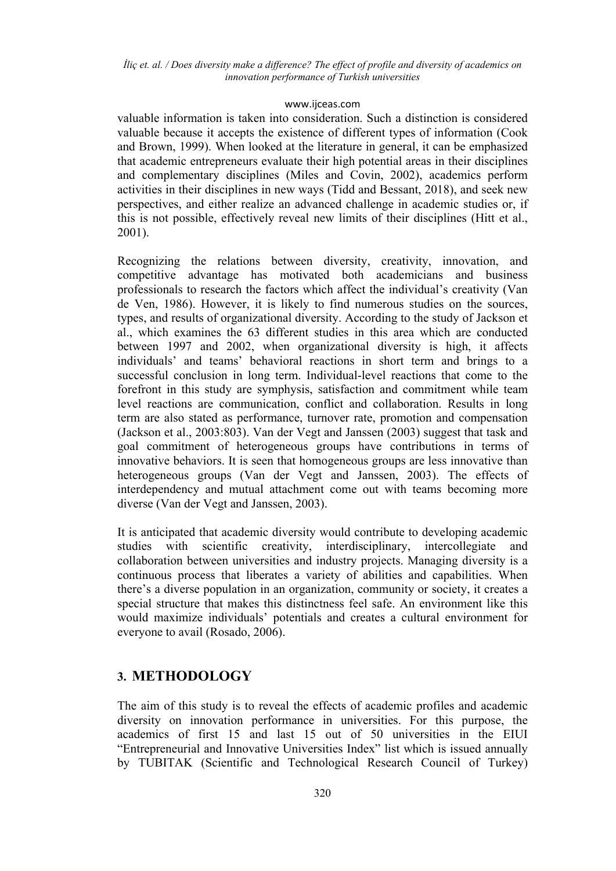### [www.ijceas.com](http://www.ijceas.com/)

valuable information is taken into consideration. Such a distinction is considered valuable because it accepts the existence of different types of information (Cook and Brown, 1999). When looked at the literature in general, it can be emphasized that academic entrepreneurs evaluate their high potential areas in their disciplines and complementary disciplines (Miles and Covin, 2002), academics perform activities in their disciplines in new ways (Tidd and Bessant, 2018), and seek new perspectives, and either realize an advanced challenge in academic studies or, if this is not possible, effectively reveal new limits of their disciplines (Hitt et al., 2001).

Recognizing the relations between diversity, creativity, innovation, and competitive advantage has motivated both academicians and business professionals to research the factors which affect the individual's creativity (Van de Ven, 1986). However, it is likely to find numerous studies on the sources, types, and results of organizational diversity. According to the study of Jackson et al., which examines the 63 different studies in this area which are conducted between 1997 and 2002, when organizational diversity is high, it affects individuals' and teams' behavioral reactions in short term and brings to a successful conclusion in long term. Individual-level reactions that come to the forefront in this study are symphysis, satisfaction and commitment while team level reactions are communication, conflict and collaboration. Results in long term are also stated as performance, turnover rate, promotion and compensation (Jackson et al., 2003:803). Van der Vegt and Janssen (2003) suggest that task and goal commitment of heterogeneous groups have contributions in terms of innovative behaviors. It is seen that homogeneous groups are less innovative than heterogeneous groups (Van der Vegt and Janssen, 2003). The effects of interdependency and mutual attachment come out with teams becoming more diverse (Van der Vegt and Janssen, 2003).

It is anticipated that academic diversity would contribute to developing academic studies with scientific creativity, interdisciplinary, intercollegiate and collaboration between universities and industry projects. Managing diversity is a continuous process that liberates a variety of abilities and capabilities. When there's a diverse population in an organization, community or society, it creates a special structure that makes this distinctness feel safe. An environment like this would maximize individuals' potentials and creates a cultural environment for everyone to avail (Rosado, 2006).

## **3. METHODOLOGY**

The aim of this study is to reveal the effects of academic profiles and academic diversity on innovation performance in universities. For this purpose, the academics of first 15 and last 15 out of 50 universities in the EIUI "Entrepreneurial and Innovative Universities Index" list which is issued annually by TUBITAK (Scientific and Technological Research Council of Turkey)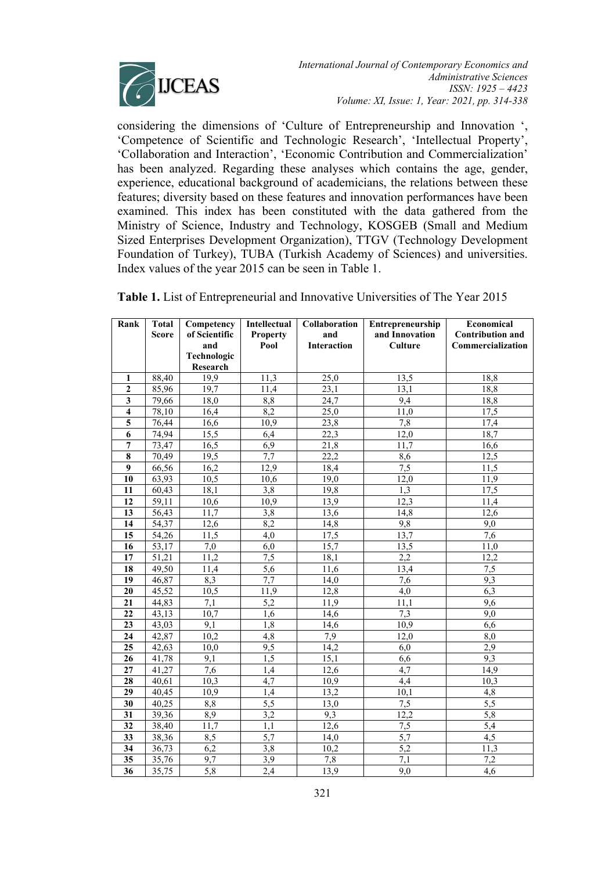

considering the dimensions of 'Culture of Entrepreneurship and Innovation ', 'Competence of Scientific and Technologic Research', 'Intellectual Property', 'Collaboration and Interaction', 'Economic Contribution and Commercialization' has been analyzed. Regarding these analyses which contains the age, gender, experience, educational background of academicians, the relations between these features; diversity based on these features and innovation performances have been examined. This index has been constituted with the data gathered from the Ministry of Science, Industry and Technology, KOSGEB (Small and Medium Sized Enterprises Development Organization), TTGV (Technology Development Foundation of Turkey), TUBA (Turkish Academy of Sciences) and universities. Index values of the year 2015 can be seen in Table 1.

| Rank                    | <b>Total</b>       | Competency              | Intellectual     | Collaboration      | Entrepreneurship | Economical              |
|-------------------------|--------------------|-------------------------|------------------|--------------------|------------------|-------------------------|
|                         | <b>Score</b>       | of Scientific           | <b>Property</b>  | and                | and Innovation   | <b>Contribution and</b> |
|                         |                    | and                     | Pool             | <b>Interaction</b> | <b>Culture</b>   | Commercialization       |
|                         |                    | Technologic             |                  |                    |                  |                         |
|                         |                    | <b>Research</b><br>19,9 | 11,3             |                    |                  |                         |
| 1<br>$\overline{2}$     | 88,40              |                         |                  | 25,0               | 13,5             | 18,8                    |
|                         | 85,96              | 19,7                    | 11,4             | 23.1               | 13.1             | 18,8                    |
| $\overline{\mathbf{3}}$ | 79,66              | 18,0                    | 8,8              | 24,7               | 9,4              | 18,8                    |
| $\overline{\mathbf{4}}$ | 78,10              | 16,4                    | 8,2              | 25,0               | 11,0             | 17,5                    |
| 5                       | 76,44              | 16,6                    | 10,9             | 23,8               | 7,8              | 17,4                    |
| 6                       | 74,94              | 15,5                    | 6,4              | 22,3               | 12,0             | 18,7                    |
| $\overline{7}$          | 73,47              | 16,5                    | 6,9              | 21,8               | 11,7             | 16,6                    |
| 8                       | 70,49              | 19,5                    | 7,7              | 22,2               | 8,6              | 12,5                    |
| $\boldsymbol{9}$        | 66,56              | 16,2                    | 12,9             | 18,4               | 7,5              | 11,5                    |
| 10                      | 63,93              | 10,5                    | 10,6             | 19,0               | 12,0             | 11,9                    |
| 11                      | 60,43              | 18,1                    | 3,8              | 19,8               | 1,3              | 17,5                    |
| 12                      | 59,11              | 10,6                    | 10,9             | 13,9               | 12,3             | 11,4                    |
| 13                      | 56,43              | 11,7                    | 3,8              | 13,6               | 14,8             | 12,6                    |
| 14                      | 54,37              | 12,6                    | 8,2              | 14,8               | 9,8              | 9,0                     |
| 15                      | $\overline{54,26}$ | 11,5                    | 4,0              | 17,5               | 13,7             | $\overline{7,6}$        |
| 16                      | 53,17              | 7,0                     | 6,0              | 15,7               | 13,5             | 11.0                    |
| 17                      | 51,21              | 11,2                    | 7,5              | 18,1               | 2,2              | 12,2                    |
| $\overline{18}$         | 49,50              | 11,4                    | $\overline{5,6}$ | 11,6               | 13,4             | 7,5                     |
| 19                      | 46,87              | 8,3                     | 7,7              | 14,0               | $7,\overline{6}$ | 9,3                     |
| 20                      | 45,52              | 10,5                    | 11,9             | 12,8               | 4,0              | $\overline{6,3}$        |
| 21                      | 44,83              | 7,1                     | 5,2              | 11,9               | 11,1             | 9,6                     |
| 22                      | 43,13              | 10,7                    | 1,6              | 14,6               | 7,3              | 9,0                     |
| 23                      | 43,03              | 9.1                     | 1,8              | 14,6               | 10,9             | 6,6                     |
| 24                      | 42,87              | 10,2                    | 4,8              | 7,9                | 12,0             | 8,0                     |
| $\overline{25}$         | 42,63              | 10,0                    | 9,5              | 14,2               | 6,0              | $\overline{2,9}$        |
| 26                      | 41,78              | 9,1                     | $\overline{1,5}$ | 15,1               | 6,6              | 9,3                     |
| 27                      | 41,27              | 7,6                     | 1,4              | 12,6               | 4,7              | 14,9                    |
| 28                      | 40,61              | 10,3                    | 4,7              | 10,9               | 4,4              | 10,3                    |
| 29                      | 40,45              | 10,9                    | 1,4              | 13,2               | 10,1             | 4,8                     |
| 30                      | 40,25              | 8,8                     | 5,5              | 13,0               | 7,5              | 5,5                     |
| 31                      | 39,36              | 8,9                     | 3,2              | 9,3                | 12,2             | $\overline{5,8}$        |
| $\overline{32}$         | 38,40              | 11,7                    | 1,1              | 12,6               | 7,5              | $\overline{5,4}$        |
| 33                      | 38,36              | 8,5                     | 5,7              | 14.0               | $\overline{5,7}$ | 4,5                     |
| 34                      | 36,73              | 6,2                     | 3,8              | 10,2               | 5,2              | 11.3                    |
| 35                      | 35,76              | 9,7                     | 3,9              | 7,8                | $\overline{7,1}$ | 7,2                     |
| $\overline{36}$         | 35,75              | 5,8                     | 2,4              | 13,9               | 9,0              | $\overline{4,6}$        |

**Table 1.** List of Entrepreneurial and Innovative Universities of The Year 2015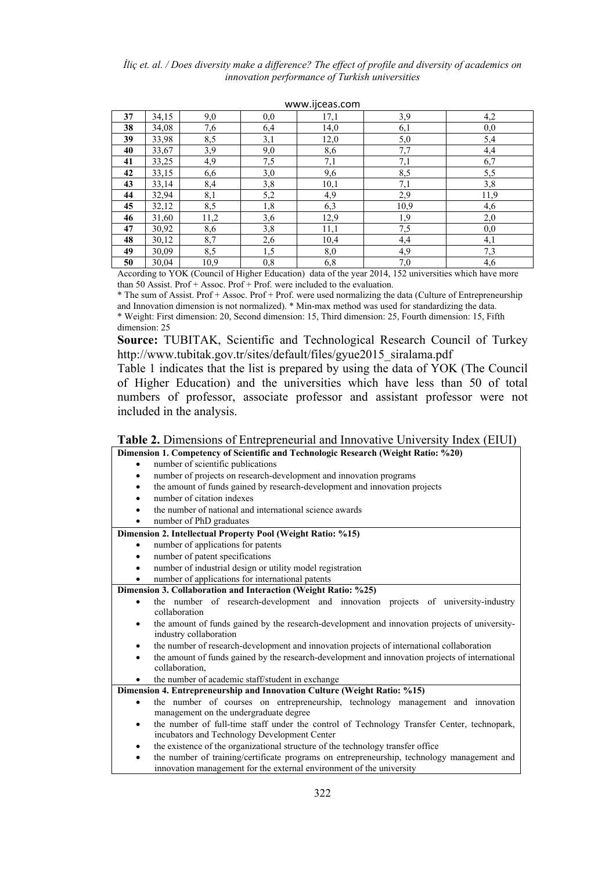|    |       |      |     | www.ijccas.com |      |      |
|----|-------|------|-----|----------------|------|------|
| 37 | 34,15 | 9,0  | 0,0 | 17,1           | 3,9  | 4,2  |
| 38 | 34,08 | 7,6  | 6,4 | 14,0           | 6,1  | 0,0  |
| 39 | 33,98 | 8,5  | 3,1 | 12,0           | 5,0  | 5,4  |
| 40 | 33,67 | 3,9  | 9,0 | 8,6            | 7,7  | 4,4  |
| 41 | 33,25 | 4,9  | 7,5 | 7,1            | 7,1  | 6,7  |
| 42 | 33,15 | 6,6  | 3,0 | 9,6            | 8,5  | 5,5  |
| 43 | 33,14 | 8,4  | 3,8 | 10,1           | 7,1  | 3,8  |
| 44 | 32,94 | 8,1  | 5,2 | 4,9            | 2,9  | 11,9 |
| 45 | 32,12 | 8,5  | 1,8 | 6,3            | 10,9 | 4,6  |
| 46 | 31,60 | 11,2 | 3,6 | 12,9           | 1,9  | 2,0  |
| 47 | 30,92 | 8,6  | 3,8 | 11,1           | 7,5  | 0,0  |
| 48 | 30,12 | 8,7  | 2,6 | 10,4           | 4,4  | 4,1  |
| 49 | 30,09 | 8,5  | 1,5 | 8,0            | 4,9  | 7,3  |
| 50 | 30,04 | 10,9 | 0,8 | 6,8            | 7,0  | 4,6  |

#### [www.ijceas.com](http://www.ijceas.com/)

According to YOK (Council of Higher Education) data of the year 2014, 152 universities which have more than 50 Assist. Prof + Assoc. Prof + Prof. were included to the evaluation.

\* The sum of Assist. Prof + Assoc. Prof + Prof. were used normalizing the data (Culture of Entrepreneurship and Innovation dimension is not normalized). \* Min-max method was used for standardizing the data. \* Weight: First dimension: 20, Second dimension: 15, Third dimension: 25, Fourth dimension: 15, Fifth dimension: 25

**Source:** TUBITAK, Scientific and Technological Research Council of Turkey http://www.tubitak.gov.tr/sites/default/files/gyue2015\_siralama.pdf

Table 1 indicates that the list is prepared by using the data of YOK (The Council of Higher Education) and the universities which have less than 50 of total numbers of professor, associate professor and assistant professor were not included in the analysis.

### **Table 2.** Dimensions of Entrepreneurial and Innovative University Index (EIUI)

#### **Dimension 1. Competency of Scientific and Technologic Research (Weight Ratio: %20)** number of scientific publications

- number of projects on research-development and innovation programs
- the amount of funds gained by research-development and innovation projects
- number of citation indexes
- the number of national and international science awards
- number of PhD graduates

#### **Dimension 2. Intellectual Property Pool (Weight Ratio: %15)**

- number of applications for patents
- number of patent specifications
- number of industrial design or utility model registration
- number of applications for international patents

**Dimension 3. Collaboration and Interaction (Weight Ratio: %25)**

- the number of research-development and innovation projects of university-industry collaboration
	- the amount of funds gained by the research-development and innovation projects of universityindustry collaboration
- the number of research-development and innovation projects of international collaboration
- the amount of funds gained by the research-development and innovation projects of international collaboration,

the number of academic staff/student in exchange

### **Dimension 4. Entrepreneurship and Innovation Culture (Weight Ratio: %15)**

- the number of courses on entrepreneurship, technology management and innovation management on the undergraduate degree
- the number of full-time staff under the control of Technology Transfer Center, technopark, incubators and Technology Development Center
- the existence of the organizational structure of the technology transfer office
- the number of training/certificate programs on entrepreneurship, technology management and innovation management for the external environment of the university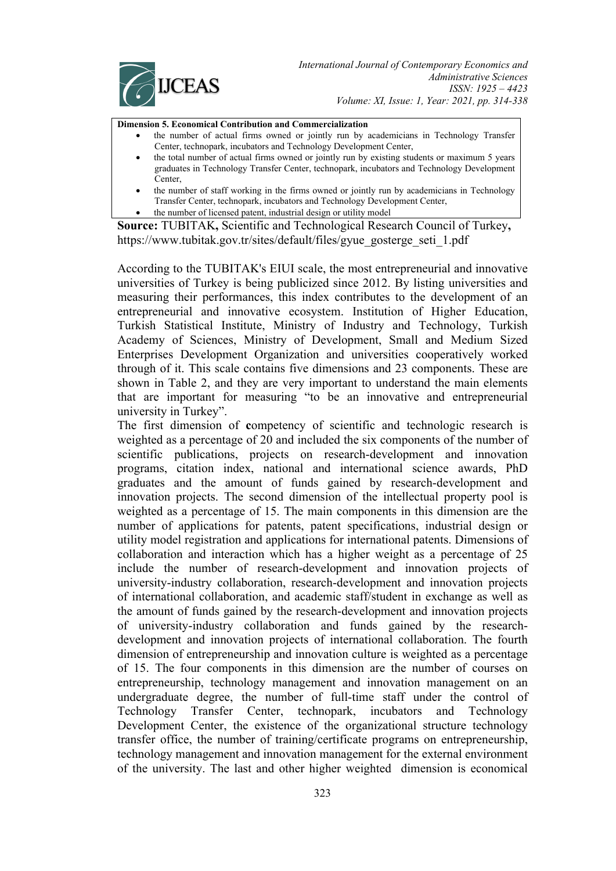

**Dimension 5. Economical Contribution and Commercialization**

- the number of actual firms owned or jointly run by academicians in Technology Transfer Center, technopark, incubators and Technology Development Center,
	- the total number of actual firms owned or jointly run by existing students or maximum 5 years graduates in Technology Transfer Center, technopark, incubators and Technology Development **Center**
	- the number of staff working in the firms owned or jointly run by academicians in Technology Transfer Center, technopark, incubators and Technology Development Center,
- the number of licensed patent, industrial design or utility model

**Source:** TUBITAK**,** Scientific and Technological Research Council of Turkey**,**  https://www.tubitak.gov.tr/sites/default/files/gyue\_gosterge\_seti\_1.pdf

According to the TUBITAK's EIUI scale, the most entrepreneurial and innovative universities of Turkey is being publicized since 2012. By listing universities and measuring their performances, this index contributes to the development of an entrepreneurial and innovative ecosystem. Institution of Higher Education, Turkish Statistical Institute, Ministry of Industry and Technology, Turkish Academy of Sciences, Ministry of Development, Small and Medium Sized Enterprises Development Organization and universities cooperatively worked through of it. This scale contains five dimensions and 23 components. These are shown in Table 2, and they are very important to understand the main elements that are important for measuring "to be an innovative and entrepreneurial university in Turkey".

The first dimension of **c**ompetency of scientific and technologic research is weighted as a percentage of 20 and included the six components of the number of scientific publications, projects on research-development and innovation programs, citation index, national and international science awards, PhD graduates and the amount of funds gained by research-development and innovation projects. The second dimension of the intellectual property pool is weighted as a percentage of 15. The main components in this dimension are the number of applications for patents, patent specifications, industrial design or utility model registration and applications for international patents. Dimensions of collaboration and interaction which has a higher weight as a percentage of 25 include the number of research-development and innovation projects of university-industry collaboration, research-development and innovation projects of international collaboration, and academic staff/student in exchange as well as the amount of funds gained by the research-development and innovation projects of university-industry collaboration and funds gained by the researchdevelopment and innovation projects of international collaboration. The fourth dimension of entrepreneurship and innovation culture is weighted as a percentage of 15. The four components in this dimension are the number of courses on entrepreneurship, technology management and innovation management on an undergraduate degree, the number of full-time staff under the control of Technology Transfer Center, technopark, incubators and Technology Development Center, the existence of the organizational structure technology transfer office, the number of training/certificate programs on entrepreneurship, technology management and innovation management for the external environment of the university. The last and other higher weighted dimension is economical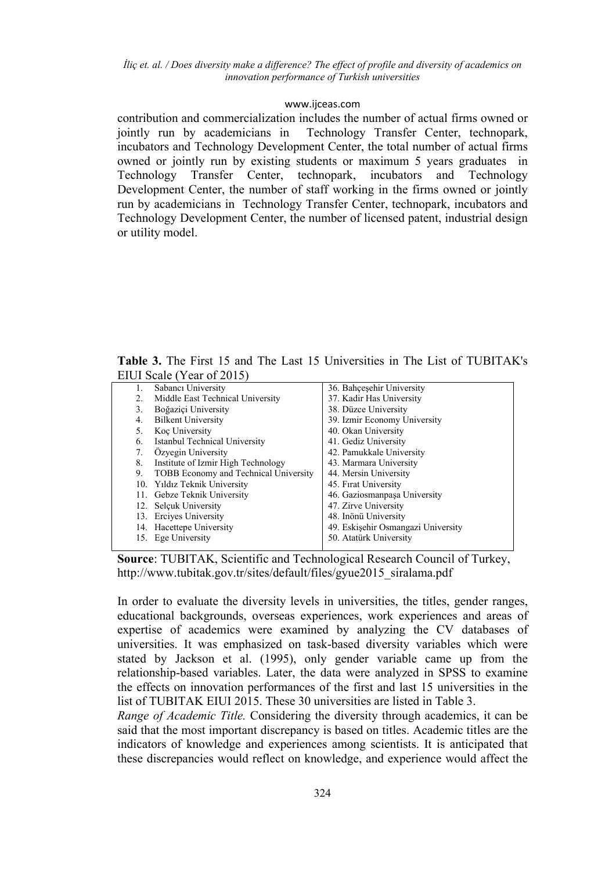### [www.ijceas.com](http://www.ijceas.com/)

contribution and commercialization includes the number of actual firms owned or jointly run by academicians in Technology Transfer Center, technopark, incubators and Technology Development Center, the total number of actual firms owned or jointly run by existing students or maximum 5 years graduates in Technology Transfer Center, technopark, incubators and Technology Development Center, the number of staff working in the firms owned or jointly run by academicians in Technology Transfer Center, technopark, incubators and Technology Development Center, the number of licensed patent, industrial design or utility model.

**Table 3.** The First 15 and The Last 15 Universities in The List of TUBITAK's EIUI Scale (Year of 2015)

|    | Sabancı University                    | 36. Bahçeşehir University          |
|----|---------------------------------------|------------------------------------|
| 2. | Middle East Technical University      | 37. Kadir Has University           |
| 3. | Boğazici University                   | 38. Düzce University               |
| 4. | <b>Bilkent University</b>             | 39. Izmir Economy University       |
| 5. | Koc University                        | 40. Okan University                |
| 6. | Istanbul Technical University         | 41. Gediz University               |
| 7. | Özyegin University                    | 42. Pamukkale University           |
| 8. | Institute of Izmir High Technology    | 43. Marmara University             |
| 9. | TOBB Economy and Technical University | 44. Mersin University              |
|    | 10. Yıldız Teknik University          | 45. Firat University               |
|    | 11. Gebze Teknik University           | 46. Gaziosmanpaşa University       |
|    | 12. Selcuk University                 | 47. Zirve University               |
|    | 13. Ercives University                | 48. Inönü University               |
|    | 14. Hacettepe University              | 49. Eskişehir Osmangazi University |
|    | 15. Ege University                    | 50. Atatürk University             |
|    |                                       |                                    |



In order to evaluate the diversity levels in universities, the titles, gender ranges, educational backgrounds, overseas experiences, work experiences and areas of expertise of academics were examined by analyzing the CV databases of universities. It was emphasized on task-based diversity variables which were stated by Jackson et al. (1995), only gender variable came up from the relationship-based variables. Later, the data were analyzed in SPSS to examine the effects on innovation performances of the first and last 15 universities in the list of TUBITAK EIUI 2015. These 30 universities are listed in Table 3.

*Range of Academic Title.* Considering the diversity through academics, it can be said that the most important discrepancy is based on titles. Academic titles are the indicators of knowledge and experiences among scientists. It is anticipated that these discrepancies would reflect on knowledge, and experience would affect the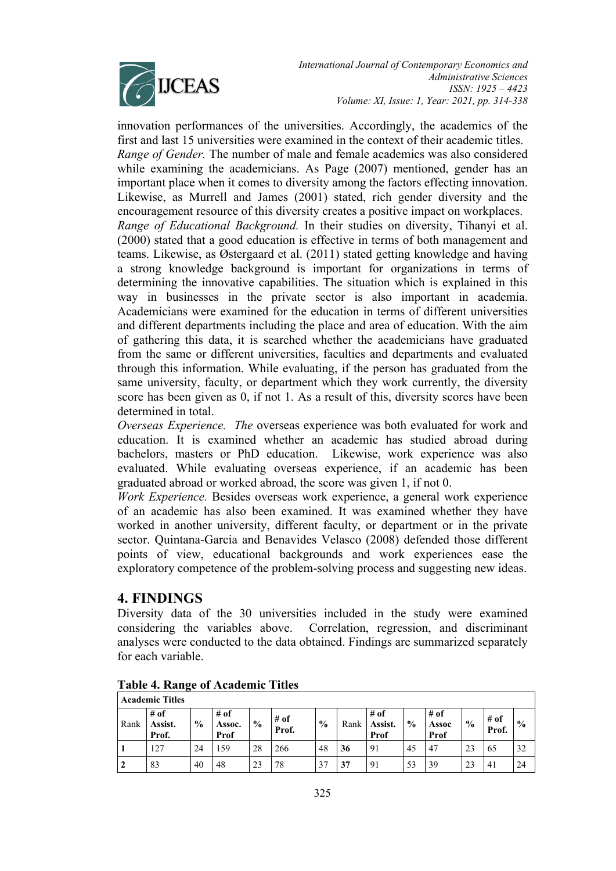

*International Journal of Contemporary Economics and Administrative Sciences ISSN: 1925 – 4423 Volume: XI, Issue: 1, Year: 2021, pp. 314-338*

innovation performances of the universities. Accordingly, the academics of the first and last 15 universities were examined in the context of their academic titles. *Range of Gender.* The number of male and female academics was also considered while examining the academicians. As Page (2007) mentioned, gender has an important place when it comes to diversity among the factors effecting innovation. Likewise, as Murrell and James (2001) stated, rich gender diversity and the encouragement resource of this diversity creates a positive impact on workplaces. *Range of Educational Background.* In their studies on diversity, Tihanyi et al. (2000) stated that a good education is effective in terms of both management and teams. Likewise, as Østergaard et al. (2011) stated getting knowledge and having a strong knowledge background is important for organizations in terms of determining the innovative capabilities. The situation which is explained in this way in businesses in the private sector is also important in academia. Academicians were examined for the education in terms of different universities and different departments including the place and area of education. With the aim of gathering this data, it is searched whether the academicians have graduated from the same or different universities, faculties and departments and evaluated through this information. While evaluating, if the person has graduated from the same university, faculty, or department which they work currently, the diversity score has been given as 0, if not 1. As a result of this, diversity scores have been determined in total.

*Overseas Experience. The* overseas experience was both evaluated for work and education. It is examined whether an academic has studied abroad during bachelors, masters or PhD education. Likewise, work experience was also evaluated. While evaluating overseas experience, if an academic has been graduated abroad or worked abroad, the score was given 1, if not 0.

*Work Experience.* Besides overseas work experience, a general work experience of an academic has also been examined. It was examined whether they have worked in another university, different faculty, or department or in the private sector. Quintana-Garcia and Benavides Velasco (2008) defended those different points of view, educational backgrounds and work experiences ease the exploratory competence of the problem-solving process and suggesting new ideas.

## **4. FINDINGS**

Diversity data of the 30 universities included in the study were examined considering the variables above. Correlation, regression, and discriminant analyses were conducted to the data obtained. Findings are summarized separately for each variable.

|      | <b>Academic Titles</b>     |               |                        |               |                 |               |      |                           |               |                       |               |                 |               |
|------|----------------------------|---------------|------------------------|---------------|-----------------|---------------|------|---------------------------|---------------|-----------------------|---------------|-----------------|---------------|
| Rank | $#$ of<br>Assist.<br>Prof. | $\frac{0}{0}$ | # of<br>Assoc.<br>Prof | $\frac{6}{9}$ | $#$ of<br>Prof. | $\frac{0}{0}$ | Rank | $#$ of<br>Assist.<br>Prof | $\frac{0}{0}$ | # of<br>Assoc<br>Prof | $\frac{6}{6}$ | $#$ of<br>Prof. | $\frac{0}{0}$ |
|      | 127                        | 24            | 159                    | 28            | 266             | 48            | 36   | 91                        | 45            | 47                    | 23            | 65              | 32            |
| 2    | 83                         | 40            | 48                     | 23            | 78              |               | 37   | 91                        | 53            | 39                    | 23            | $4_{1}$         | 24            |

**Table 4. Range of Academic Titles**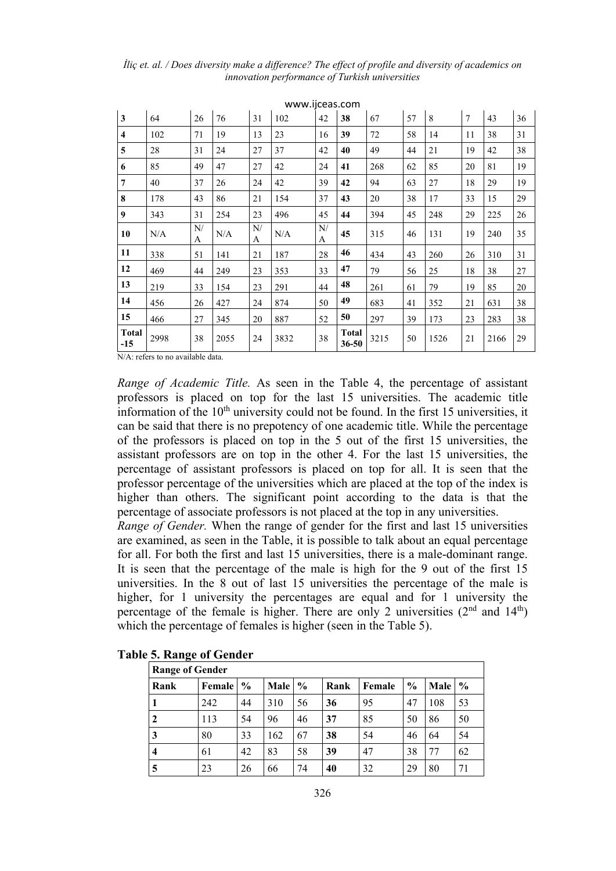|                         |      |         |      |         | WWW.IICCas.COIII |         |                           |      |    |      |                |      |    |
|-------------------------|------|---------|------|---------|------------------|---------|---------------------------|------|----|------|----------------|------|----|
| 3                       | 64   | 26      | 76   | 31      | 102              | 42      | 38                        | 67   | 57 | 8    | $\overline{7}$ | 43   | 36 |
| $\overline{\mathbf{4}}$ | 102  | 71      | 19   | 13      | 23               | 16      | 39                        | 72   | 58 | 14   | 11             | 38   | 31 |
| 5                       | 28   | 31      | 24   | 27      | 37               | 42      | 40                        | 49   | 44 | 21   | 19             | 42   | 38 |
| 6                       | 85   | 49      | 47   | 27      | 42               | 24      | 41                        | 268  | 62 | 85   | 20             | 81   | 19 |
| $\overline{7}$          | 40   | 37      | 26   | 24      | 42               | 39      | 42                        | 94   | 63 | 27   | 18             | 29   | 19 |
| 8                       | 178  | 43      | 86   | 21      | 154              | 37      | 43                        | 20   | 38 | 17   | 33             | 15   | 29 |
| 9                       | 343  | 31      | 254  | 23      | 496              | 45      | 44                        | 394  | 45 | 248  | 29             | 225  | 26 |
| 10                      | N/A  | N/<br>A | N/A  | N/<br>A | N/A              | N/<br>A | 45                        | 315  | 46 | 131  | 19             | 240  | 35 |
| 11                      | 338  | 51      | 141  | 21      | 187              | 28      | 46                        | 434  | 43 | 260  | 26             | 310  | 31 |
| 12                      | 469  | 44      | 249  | 23      | 353              | 33      | 47                        | 79   | 56 | 25   | 18             | 38   | 27 |
| 13                      | 219  | 33      | 154  | 23      | 291              | 44      | 48                        | 261  | 61 | 79   | 19             | 85   | 20 |
| 14                      | 456  | 26      | 427  | 24      | 874              | 50      | 49                        | 683  | 41 | 352  | 21             | 631  | 38 |
| 15                      | 466  | 27      | 345  | 20      | 887              | 52      | 50                        | 297  | 39 | 173  | 23             | 283  | 38 |
| <b>Total</b><br>$-15$   | 2998 | 38      | 2055 | 24      | 3832             | 38      | <b>Total</b><br>$36 - 50$ | 3215 | 50 | 1526 | 21             | 2166 | 29 |

*İliç et. al. / Does diversity make a difference? The effect of profile and diversity of academics on innovation performance of Turkish universities*

[www.ijceas.com](http://www.ijceas.com/)

N/A: refers to no available data.

*Range of Academic Title.* As seen in the Table 4, the percentage of assistant professors is placed on top for the last 15 universities. The academic title information of the  $10<sup>th</sup>$  university could not be found. In the first 15 universities, it can be said that there is no prepotency of one academic title. While the percentage of the professors is placed on top in the 5 out of the first 15 universities, the assistant professors are on top in the other 4. For the last 15 universities, the percentage of assistant professors is placed on top for all. It is seen that the professor percentage of the universities which are placed at the top of the index is higher than others. The significant point according to the data is that the percentage of associate professors is not placed at the top in any universities.

*Range of Gender.* When the range of gender for the first and last 15 universities are examined, as seen in the Table, it is possible to talk about an equal percentage for all. For both the first and last 15 universities, there is a male-dominant range. It is seen that the percentage of the male is high for the 9 out of the first 15 universities. In the 8 out of last 15 universities the percentage of the male is higher, for 1 university the percentages are equal and for 1 university the percentage of the female is higher. There are only 2 universities  $(2<sup>nd</sup>$  and  $14<sup>th</sup>)$ which the percentage of females is higher (seen in the Table 5).

|      | <b>Range of Gender</b> |               |      |               |      |        |               |      |               |  |  |
|------|------------------------|---------------|------|---------------|------|--------|---------------|------|---------------|--|--|
| Rank | Female                 | $\frac{6}{9}$ | Male | $\frac{0}{0}$ | Rank | Female | $\frac{6}{9}$ | Male | $\frac{0}{0}$ |  |  |
|      | 242                    | 44            | 310  | 56            | 36   | 95     | 47            | 108  | 53            |  |  |
| 2    | 113                    | 54            | 96   | 46            | 37   | 85     | 50            | 86   | 50            |  |  |
| 3    | 80                     | 33            | 162  | 67            | 38   | 54     | 46            | 64   | 54            |  |  |
| 4    | 61                     | 42            | 83   | 58            | 39   | 47     | 38            | 77   | 62            |  |  |
| 5    | 23                     | 26            | 66   | 74            | 40   | 32     | 29            | 80   | 71            |  |  |

### **Table 5. Range of Gender**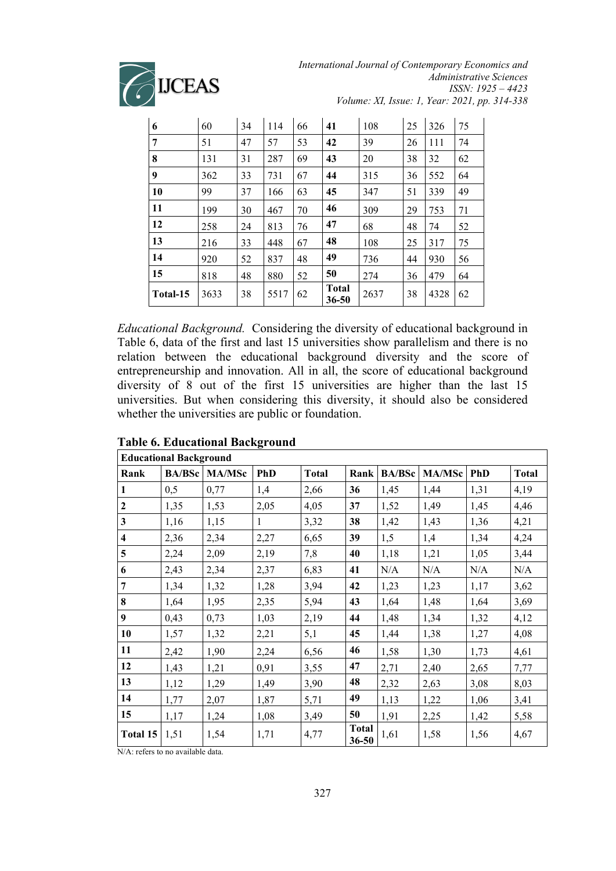

*International Journal of Contemporary Economics and Administrative Sciences ISSN: 1925 – 4423 Volume: XI, Issue: 1, Year: 2021, pp. 314-338*

| 6        | 60   | 34 | 114  | 66 | 41                        | 108  | 25 | 326  | 75 |
|----------|------|----|------|----|---------------------------|------|----|------|----|
| 7        | 51   | 47 | 57   | 53 | 42                        | 39   | 26 | 111  | 74 |
| 8        | 131  | 31 | 287  | 69 | 43                        | 20   | 38 | 32   | 62 |
| 9        | 362  | 33 | 731  | 67 | 44                        | 315  | 36 | 552  | 64 |
| 10       | 99   | 37 | 166  | 63 | 45                        | 347  | 51 | 339  | 49 |
| 11       | 199  | 30 | 467  | 70 | 46                        | 309  | 29 | 753  | 71 |
| 12       | 258  | 24 | 813  | 76 | 47                        | 68   | 48 | 74   | 52 |
| 13       | 216  | 33 | 448  | 67 | 48                        | 108  | 25 | 317  | 75 |
| 14       | 920  | 52 | 837  | 48 | 49                        | 736  | 44 | 930  | 56 |
| 15       | 818  | 48 | 880  | 52 | 50                        | 274  | 36 | 479  | 64 |
| Total-15 | 3633 | 38 | 5517 | 62 | <b>Total</b><br>$36 - 50$ | 2637 | 38 | 4328 | 62 |

*Educational Background.* Considering the diversity of educational background in Table 6, data of the first and last 15 universities show parallelism and there is no relation between the educational background diversity and the score of entrepreneurship and innovation. All in all, the score of educational background diversity of 8 out of the first 15 universities are higher than the last 15 universities. But when considering this diversity, it should also be considered whether the universities are public or foundation.

|                         | <b>Educational Background</b> |               |            |              |                           |               |               |            |              |
|-------------------------|-------------------------------|---------------|------------|--------------|---------------------------|---------------|---------------|------------|--------------|
| Rank                    | <b>BA/BSc</b>                 | <b>MA/MSc</b> | <b>PhD</b> | <b>Total</b> | Rank                      | <b>BA/BSc</b> | <b>MA/MSc</b> | <b>PhD</b> | <b>Total</b> |
| 1                       | 0,5                           | 0,77          | 1,4        | 2,66         | 36                        | 1,45          | 1,44          | 1,31       | 4,19         |
| $\mathbf{2}$            | 1,35                          | 1,53          | 2,05       | 4,05         | 37                        | 1,52          | 1,49          | 1,45       | 4,46         |
| 3                       | 1,16                          | 1,15          | 1          | 3,32         | 38                        | 1,42          | 1,43          | 1,36       | 4,21         |
| $\overline{\mathbf{4}}$ | 2,36                          | 2,34          | 2,27       | 6,65         | 39                        | 1,5           | 1,4           | 1,34       | 4,24         |
| 5                       | 2,24                          | 2,09          | 2,19       | 7,8          | 40                        | 1,18          | 1,21          | 1,05       | 3,44         |
| 6                       | 2,43                          | 2,34          | 2,37       | 6,83         | 41                        | N/A           | N/A           | N/A        | N/A          |
| 7                       | 1,34                          | 1,32          | 1,28       | 3,94         | 42                        | 1,23          | 1,23          | 1,17       | 3,62         |
| 8                       | 1,64                          | 1,95          | 2,35       | 5,94         | 43                        | 1,64          | 1,48          | 1,64       | 3,69         |
| 9                       | 0,43                          | 0,73          | 1,03       | 2,19         | 44                        | 1,48          | 1,34          | 1,32       | 4,12         |
| 10                      | 1,57                          | 1,32          | 2,21       | 5,1          | 45                        | 1,44          | 1,38          | 1,27       | 4,08         |
| 11                      | 2,42                          | 1,90          | 2,24       | 6,56         | 46                        | 1,58          | 1,30          | 1,73       | 4,61         |
| 12                      | 1,43                          | 1,21          | 0,91       | 3,55         | 47                        | 2,71          | 2,40          | 2,65       | 7,77         |
| 13                      | 1,12                          | 1,29          | 1,49       | 3,90         | 48                        | 2,32          | 2,63          | 3,08       | 8,03         |
| 14                      | 1,77                          | 2,07          | 1,87       | 5,71         | 49                        | 1,13          | 1,22          | 1,06       | 3,41         |
| 15                      | 1,17                          | 1,24          | 1,08       | 3,49         | 50                        | 1,91          | 2,25          | 1,42       | 5,58         |
| Total 15                | 1,51                          | 1,54          | 1,71       | 4,77         | <b>Total</b><br>$36 - 50$ | 1,61          | 1,58          | 1,56       | 4,67         |

### **Table 6. Educational Background**

N/A: refers to no available data.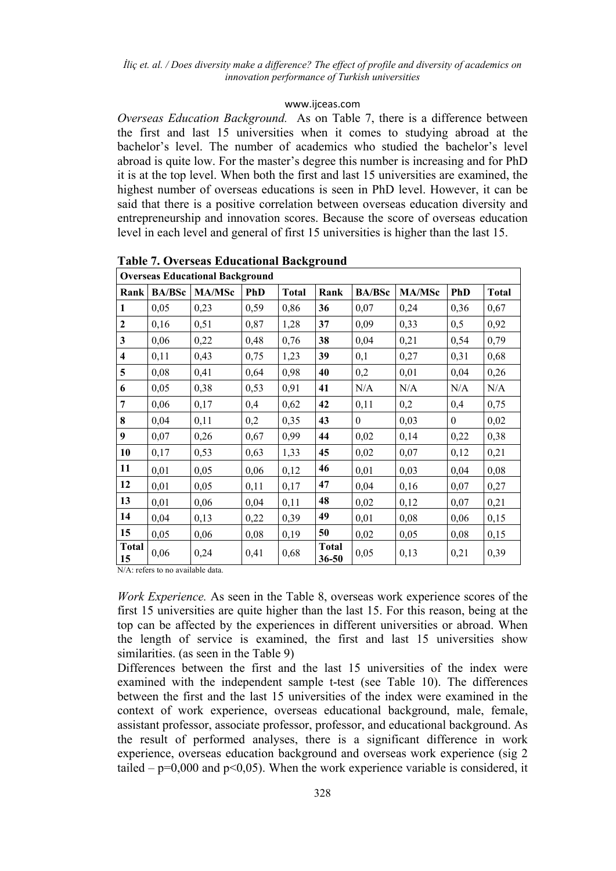### [www.ijceas.com](http://www.ijceas.com/)

*Overseas Education Background.* As on Table 7, there is a difference between the first and last 15 universities when it comes to studying abroad at the bachelor's level. The number of academics who studied the bachelor's level abroad is quite low. For the master's degree this number is increasing and for PhD it is at the top level. When both the first and last 15 universities are examined, the highest number of overseas educations is seen in PhD level. However, it can be said that there is a positive correlation between overseas education diversity and entrepreneurship and innovation scores. Because the score of overseas education level in each level and general of first 15 universities is higher than the last 15.

|                         | <b>Overseas Educational Background</b> |               |            |              |                       |               |               |                  |              |  |  |  |
|-------------------------|----------------------------------------|---------------|------------|--------------|-----------------------|---------------|---------------|------------------|--------------|--|--|--|
| Rank                    | <b>BA/BSc</b>                          | <b>MA/MSc</b> | <b>PhD</b> | <b>Total</b> | Rank                  | <b>BA/BSc</b> | <b>MA/MSc</b> | <b>PhD</b>       | <b>Total</b> |  |  |  |
| 1                       | 0,05                                   | 0,23          | 0,59       | 0,86         | 36                    | 0,07          | 0,24          | 0,36             | 0,67         |  |  |  |
| $\overline{2}$          | 0,16                                   | 0,51          | 0,87       | 1,28         | 37                    | 0,09          | 0,33          | 0,5              | 0,92         |  |  |  |
| $\overline{\mathbf{3}}$ | 0,06                                   | 0,22          | 0,48       | 0,76         | 38                    | 0,04          | 0,21          | 0,54             | 0,79         |  |  |  |
| 4                       | 0,11                                   | 0,43          | 0,75       | 1,23         | 39                    | 0,1           | 0,27          | 0,31             | 0,68         |  |  |  |
| 5                       | 0,08                                   | 0,41          | 0,64       | 0,98         | 40                    | 0,2           | 0,01          | 0,04             | 0,26         |  |  |  |
| 6                       | 0,05                                   | 0,38          | 0,53       | 0,91         | 41                    | N/A           | N/A           | N/A              | N/A          |  |  |  |
| 7                       | 0,06                                   | 0,17          | 0,4        | 0,62         | 42                    | 0,11          | 0,2           | 0,4              | 0,75         |  |  |  |
| 8                       | 0,04                                   | 0,11          | 0,2        | 0,35         | 43                    | $\theta$      | 0,03          | $\boldsymbol{0}$ | 0,02         |  |  |  |
| 9                       | 0,07                                   | 0,26          | 0,67       | 0,99         | 44                    | 0,02          | 0,14          | 0,22             | 0,38         |  |  |  |
| 10                      | 0,17                                   | 0,53          | 0,63       | 1,33         | 45                    | 0,02          | 0,07          | 0,12             | 0,21         |  |  |  |
| 11                      | 0,01                                   | 0,05          | 0,06       | 0,12         | 46                    | 0,01          | 0,03          | 0,04             | 0,08         |  |  |  |
| 12                      | 0,01                                   | 0,05          | 0,11       | 0,17         | 47                    | 0,04          | 0,16          | 0,07             | 0,27         |  |  |  |
| 13                      | 0,01                                   | 0,06          | 0,04       | 0,11         | 48                    | 0,02          | 0,12          | 0,07             | 0,21         |  |  |  |
| 14                      | 0,04                                   | 0,13          | 0,22       | 0,39         | 49                    | 0,01          | 0,08          | 0,06             | 0,15         |  |  |  |
| 15                      | 0,05                                   | 0,06          | 0,08       | 0,19         | 50                    | 0,02          | 0,05          | 0,08             | 0,15         |  |  |  |
| <b>Total</b><br>15      | 0,06                                   | 0,24          | 0,41       | 0,68         | <b>Total</b><br>36-50 | 0,05          | 0,13          | 0,21             | 0,39         |  |  |  |

**Table 7. Overseas Educational Background**

N/A: refers to no available data.

*Work Experience.* As seen in the Table 8, overseas work experience scores of the first 15 universities are quite higher than the last 15. For this reason, being at the top can be affected by the experiences in different universities or abroad. When the length of service is examined, the first and last 15 universities show similarities. (as seen in the Table 9)

Differences between the first and the last 15 universities of the index were examined with the independent sample t-test (see Table 10). The differences between the first and the last 15 universities of the index were examined in the context of work experience, overseas educational background, male, female, assistant professor, associate professor, professor, and educational background. As the result of performed analyses, there is a significant difference in work experience, overseas education background and overseas work experience (sig 2 tailed –  $p=0,000$  and  $p<0,05$ ). When the work experience variable is considered, it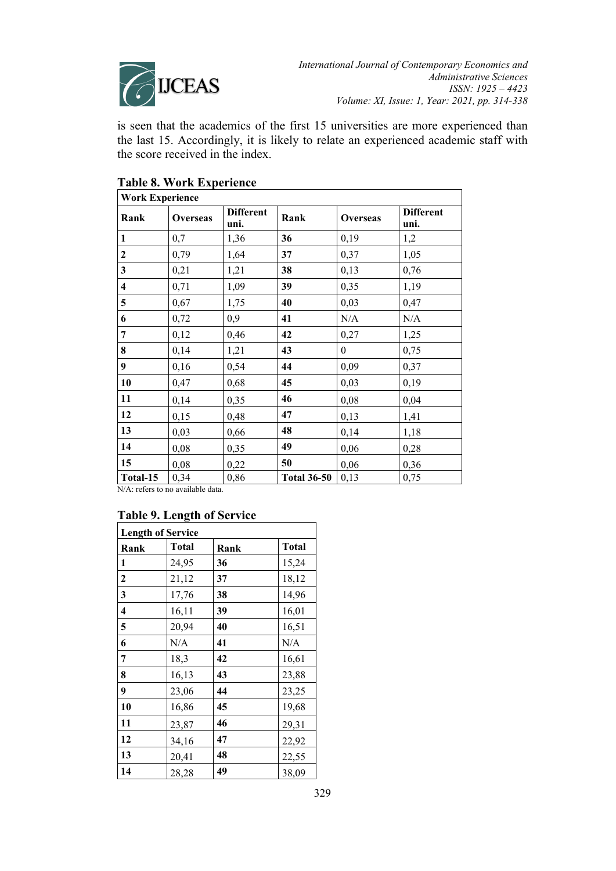

is seen that the academics of the first 15 universities are more experienced than the last 15. Accordingly, it is likely to relate an experienced academic staff with the score received in the index.

| <b>Work Experience</b>  |                 |                          |                    |                 |                          |
|-------------------------|-----------------|--------------------------|--------------------|-----------------|--------------------------|
| Rank                    | <b>Overseas</b> | <b>Different</b><br>uni. | Rank               | <b>Overseas</b> | <b>Different</b><br>uni. |
| $\mathbf{1}$            | 0,7             | 1,36                     | 36                 | 0,19            | 1,2                      |
| $\mathbf{2}$            | 0,79            | 1,64                     | 37                 | 0,37            | 1,05                     |
| $\mathbf{3}$            | 0,21            | 1,21                     | 38                 | 0,13            | 0,76                     |
| $\overline{\mathbf{4}}$ | 0,71            | 1,09                     | 39                 | 0,35            | 1,19                     |
| $\overline{5}$          | 0,67            | 1,75                     | 40                 | 0,03            | 0,47                     |
| 6                       | 0,72            | 0,9                      | 41                 | N/A             | N/A                      |
| $\overline{7}$          | 0,12            | 0,46                     | 42                 | 0,27            | 1,25                     |
| 8                       | 0,14            | 1,21                     | 43                 | $\theta$        | 0,75                     |
| $\boldsymbol{9}$        | 0,16            | 0,54                     | 44                 | 0,09            | 0,37                     |
| 10                      | 0,47            | 0,68                     | 45                 | 0,03            | 0,19                     |
| 11                      | 0,14            | 0,35                     | 46                 | 0,08            | 0,04                     |
| 12                      | 0,15            | 0,48                     | 47                 | 0,13            | 1,41                     |
| 13                      | 0,03            | 0,66                     | 48                 | 0,14            | 1,18                     |
| 14                      | 0,08            | 0,35                     | 49                 | 0,06            | 0,28                     |
| 15                      | 0,08            | 0,22                     | 50                 | 0,06            | 0,36                     |
| Total-15<br>T           | 0,34            | 0,86                     | <b>Total 36-50</b> | 0,13            | 0,75                     |

# **Table 8. Work Experience**

N/A: refers to no available data.

## **Table 9. Length of Service**

| <b>Length of Service</b> |       |      |       |  |  |  |  |  |  |
|--------------------------|-------|------|-------|--|--|--|--|--|--|
| Rank                     | Total | Rank | Total |  |  |  |  |  |  |
| 1                        | 24,95 | 36   | 15,24 |  |  |  |  |  |  |
| $\mathbf{2}$             | 21,12 | 37   | 18,12 |  |  |  |  |  |  |
| 3                        | 17,76 | 38   | 14,96 |  |  |  |  |  |  |
| 4                        | 16,11 | 39   | 16,01 |  |  |  |  |  |  |
| 5                        | 20,94 | 40   | 16,51 |  |  |  |  |  |  |
| 6                        | N/A   | 41   | N/A   |  |  |  |  |  |  |
| 7                        | 18,3  | 42   | 16,61 |  |  |  |  |  |  |
| 8                        | 16,13 | 43   | 23,88 |  |  |  |  |  |  |
| 9                        | 23,06 | 44   | 23,25 |  |  |  |  |  |  |
| 10                       | 16,86 | 45   | 19,68 |  |  |  |  |  |  |
| 11                       | 23,87 | 46   | 29,31 |  |  |  |  |  |  |
| 12                       | 34,16 | 47   | 22,92 |  |  |  |  |  |  |
| 13                       | 20,41 | 48   | 22,55 |  |  |  |  |  |  |
| 14                       | 28,28 | 49   | 38,09 |  |  |  |  |  |  |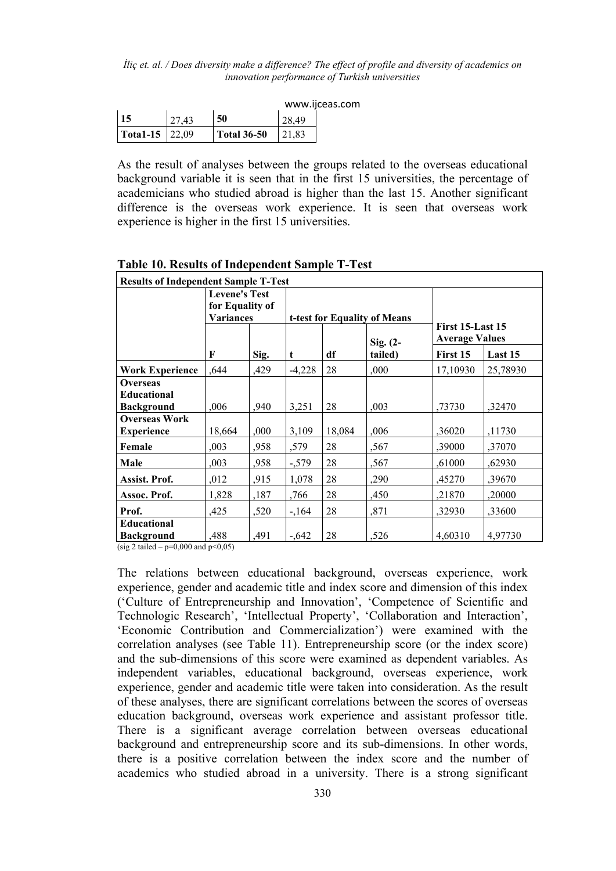*İliç et. al. / Does diversity make a difference? The effect of profile and diversity of academics on innovation performance of Turkish universities*

|                       |       |                    |       | www.ijceas.com |
|-----------------------|-------|--------------------|-------|----------------|
| 15                    | 27,43 | 50                 | 28.49 |                |
| <b>Total-15</b> 22,09 |       | <b>Total 36-50</b> | 21.83 |                |

As the result of analyses between the groups related to the overseas educational background variable it is seen that in the first 15 universities, the percentage of academicians who studied abroad is higher than the last 15. Another significant difference is the overseas work experience. It is seen that overseas work experience is higher in the first 15 universities.

| <b>Results of Independent Sample T-Test</b> |                                                             |      |                              |        |             |                       |          |  |  |  |  |  |
|---------------------------------------------|-------------------------------------------------------------|------|------------------------------|--------|-------------|-----------------------|----------|--|--|--|--|--|
|                                             | <b>Levene's Test</b><br>for Equality of<br><b>Variances</b> |      |                              |        |             |                       |          |  |  |  |  |  |
|                                             |                                                             |      |                              |        |             |                       |          |  |  |  |  |  |
|                                             |                                                             |      | t-test for Equality of Means |        |             | First 15-Last 15      |          |  |  |  |  |  |
|                                             |                                                             |      |                              |        | $Sig. (2 -$ | <b>Average Values</b> |          |  |  |  |  |  |
|                                             | F                                                           | Sig. | t                            | df     | tailed)     | First 15              | Last 15  |  |  |  |  |  |
| <b>Work Experience</b>                      | ,644                                                        | ,429 | $-4,228$                     | 28     | ,000        | 17,10930              | 25,78930 |  |  |  |  |  |
| <b>Overseas</b>                             |                                                             |      |                              |        |             |                       |          |  |  |  |  |  |
| <b>Educational</b>                          |                                                             |      |                              |        |             |                       |          |  |  |  |  |  |
| <b>Background</b>                           | ,006                                                        | ,940 | 3,251                        | 28     | ,003        | ,73730                | ,32470   |  |  |  |  |  |
| <b>Overseas Work</b>                        |                                                             |      |                              |        |             |                       |          |  |  |  |  |  |
| <b>Experience</b>                           | 18,664                                                      | ,000 | 3,109                        | 18,084 | ,006        | ,36020                | ,11730   |  |  |  |  |  |
| Female                                      | ,003                                                        | ,958 | ,579                         | 28     | ,567        | ,39000                | ,37070   |  |  |  |  |  |
| Male                                        | .003                                                        | ,958 | $-579$                       | 28     | ,567        | ,61000                | ,62930   |  |  |  |  |  |
| Assist. Prof.                               | ,012                                                        | ,915 | 1,078                        | 28     | ,290        | ,45270                | ,39670   |  |  |  |  |  |
| Assoc. Prof.                                | 1,828                                                       | ,187 | ,766                         | 28     | ,450        | ,21870                | .20000   |  |  |  |  |  |
| Prof.                                       | ,425                                                        | ,520 | $-164$                       | 28     | ,871        | ,32930                | ,33600   |  |  |  |  |  |
| <b>Educational</b>                          |                                                             |      |                              |        |             |                       |          |  |  |  |  |  |
| <b>Background</b>                           | .488                                                        | ,491 | $-.642$                      | 28     | ,526        | 4,60310               | 4,97730  |  |  |  |  |  |

**Table 10. Results of Independent Sample T-Test**

(sig 2 tailed –  $p=0,000$  and  $p<0,05$ )

The relations between educational background, overseas experience, work experience, gender and academic title and index score and dimension of this index ('Culture of Entrepreneurship and Innovation', 'Competence of Scientific and Technologic Research', 'Intellectual Property', 'Collaboration and Interaction', 'Economic Contribution and Commercialization') were examined with the correlation analyses (see Table 11). Entrepreneurship score (or the index score) and the sub-dimensions of this score were examined as dependent variables. As independent variables, educational background, overseas experience, work experience, gender and academic title were taken into consideration. As the result of these analyses, there are significant correlations between the scores of overseas education background, overseas work experience and assistant professor title. There is a significant average correlation between overseas educational background and entrepreneurship score and its sub-dimensions. In other words, there is a positive correlation between the index score and the number of academics who studied abroad in a university. There is a strong significant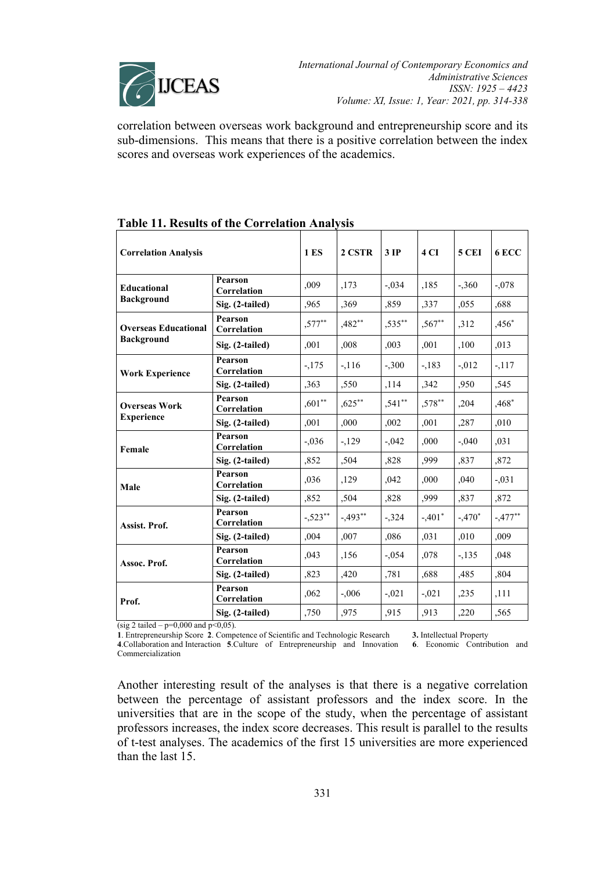

correlation between overseas work background and entrepreneurship score and its sub-dimensions. This means that there is a positive correlation between the index scores and overseas work experiences of the academics.

| <b>Correlation Analysis</b>                      |                               | <b>1 ES</b> | 2 CSTR    | 3IP       | 4 <sub>CI</sub> | <b>5 CEI</b> | 6 ECC     |
|--------------------------------------------------|-------------------------------|-------------|-----------|-----------|-----------------|--------------|-----------|
| Educational<br><b>Background</b>                 | Pearson<br>Correlation        | ,009        | ,173      | $-0.034$  | ,185            | $-360$       | $-.078$   |
|                                                  | Sig. (2-tailed)               | ,965        | ,369      | ,859      | ,337            | ,055         | ,688      |
| <b>Overseas Educational</b><br><b>Background</b> | Pearson<br>Correlation        | $,577***$   | $,482**$  | $,535***$ | $,567***$       | ,312         | ,456*     |
|                                                  | Sig. (2-tailed)               | ,001        | ,008      | ,003      | ,001            | ,100         | ,013      |
| <b>Work Experience</b>                           | Pearson<br>Correlation        | $-175$      | $-116$    | $-300$    | $-183$          | $-.012$      | $-117$    |
|                                                  | Sig. (2-tailed)               | .363        | ,550      | ,114      | ,342            | ,950         | ,545      |
| <b>Overseas Work</b><br><b>Experience</b>        | <b>Pearson</b><br>Correlation | $,601**$    | $,625***$ | ,541**    | $,578***$       | ,204         | ,468*     |
|                                                  | Sig. (2-tailed)               | ,001        | ,000      | ,002      | ,001            | ,287         | ,010      |
| Female                                           | Pearson<br>Correlation        | $-.036$     | $-129$    | $-0.042$  | ,000            | $-.040$      | ,031      |
|                                                  | Sig. (2-tailed)               | ,852        | ,504      | ,828      | ,999            | ,837         | ,872      |
| Male                                             | Pearson<br>Correlation        | ,036        | ,129      | ,042      | ,000            | ,040         | $-.031$   |
|                                                  | Sig. (2-tailed)               | ,852        | ,504      | ,828      | ,999            | ,837         | ,872      |
| Assist. Prof.                                    | <b>Pearson</b><br>Correlation | $-.523**$   | $-.493**$ | $-324$    | $-.401*$        | $-.470*$     | $-.477**$ |
|                                                  | Sig. (2-tailed)               | ,004        | ,007      | ,086      | ,031            | ,010         | ,009      |
| Assoc. Prof.                                     | <b>Pearson</b><br>Correlation | ,043        | ,156      | $-0.054$  | ,078            | $-135$       | ,048      |
|                                                  | Sig. (2-tailed)               | ,823        | ,420      | ,781      | ,688            | ,485         | ,804      |
| Prof.                                            | Pearson<br>Correlation        | ,062        | $-.006$   | $-.021$   | $-.021$         | ,235         | ,111      |
|                                                  | Sig. (2-tailed)               | ,750        | ,975      | ,915      | ,913            | ,220         | ,565      |

## **Table 11. Results of the Correlation Analysis**

(sig 2 tailed –  $p=0,000$  and  $p<0,05$ ).

**1**. Entrepreneurship Score **2**. Competence of Scientific and Technologic Research **3.** Intellectual Property **4.Collaboration and Interaction <b>5**. Culture of Entrepreneurship and Innovation Commercialization

Another interesting result of the analyses is that there is a negative correlation between the percentage of assistant professors and the index score. In the universities that are in the scope of the study, when the percentage of assistant professors increases, the index score decreases. This result is parallel to the results of t-test analyses. The academics of the first 15 universities are more experienced than the last 15.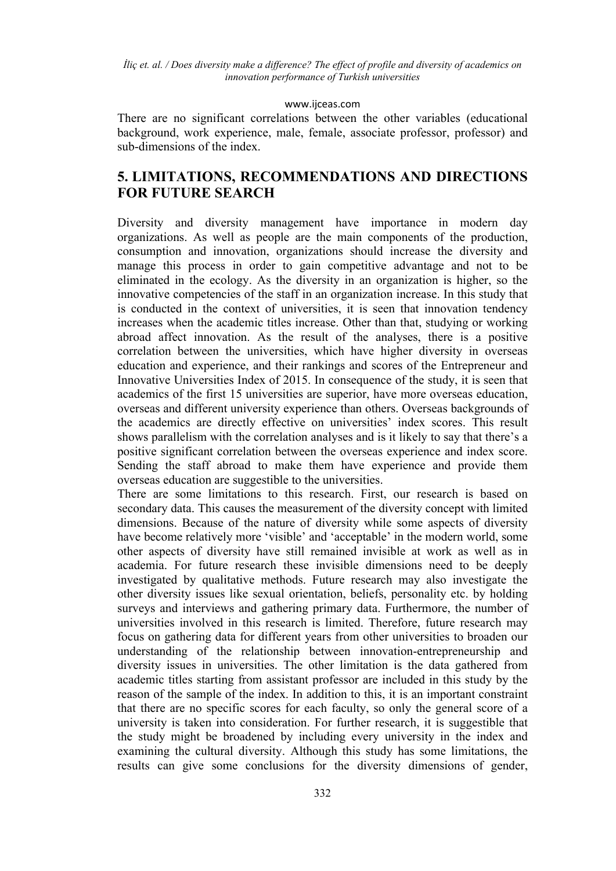### [www.ijceas.com](http://www.ijceas.com/)

There are no significant correlations between the other variables (educational background, work experience, male, female, associate professor, professor) and sub-dimensions of the index.

# **5. LIMITATIONS, RECOMMENDATIONS AND DIRECTIONS FOR FUTURE SEARCH**

Diversity and diversity management have importance in modern day organizations. As well as people are the main components of the production, consumption and innovation, organizations should increase the diversity and manage this process in order to gain competitive advantage and not to be eliminated in the ecology. As the diversity in an organization is higher, so the innovative competencies of the staff in an organization increase. In this study that is conducted in the context of universities, it is seen that innovation tendency increases when the academic titles increase. Other than that, studying or working abroad affect innovation. As the result of the analyses, there is a positive correlation between the universities, which have higher diversity in overseas education and experience, and their rankings and scores of the Entrepreneur and Innovative Universities Index of 2015. In consequence of the study, it is seen that academics of the first 15 universities are superior, have more overseas education, overseas and different university experience than others. Overseas backgrounds of the academics are directly effective on universities' index scores. This result shows parallelism with the correlation analyses and is it likely to say that there's a positive significant correlation between the overseas experience and index score. Sending the staff abroad to make them have experience and provide them overseas education are suggestible to the universities.

There are some limitations to this research. First, our research is based on secondary data. This causes the measurement of the diversity concept with limited dimensions. Because of the nature of diversity while some aspects of diversity have become relatively more 'visible' and 'acceptable' in the modern world, some other aspects of diversity have still remained invisible at work as well as in academia. For future research these invisible dimensions need to be deeply investigated by qualitative methods. Future research may also investigate the other diversity issues like sexual orientation, beliefs, personality etc. by holding surveys and interviews and gathering primary data. Furthermore, the number of universities involved in this research is limited. Therefore, future research may focus on gathering data for different years from other universities to broaden our understanding of the relationship between innovation-entrepreneurship and diversity issues in universities. The other limitation is the data gathered from academic titles starting from assistant professor are included in this study by the reason of the sample of the index. In addition to this, it is an important constraint that there are no specific scores for each faculty, so only the general score of a university is taken into consideration. For further research, it is suggestible that the study might be broadened by including every university in the index and examining the cultural diversity. Although this study has some limitations, the results can give some conclusions for the diversity dimensions of gender,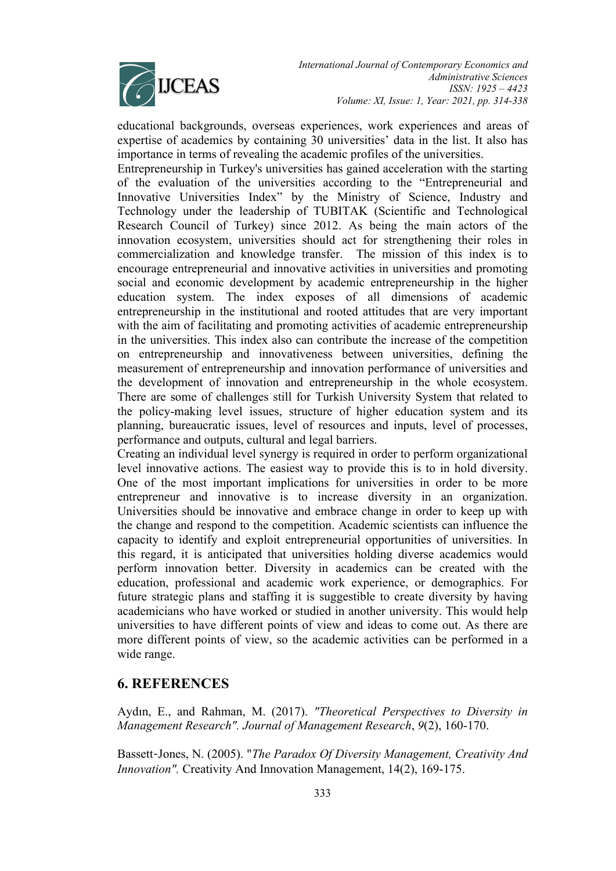

educational backgrounds, overseas experiences, work experiences and areas of expertise of academics by containing 30 universities' data in the list. It also has importance in terms of revealing the academic profiles of the universities.

Entrepreneurship in Turkey's universities has gained acceleration with the starting of the evaluation of the universities according to the "Entrepreneurial and Innovative Universities Index" by the Ministry of Science, Industry and Technology under the leadership of TUBITAK (Scientific and Technological Research Council of Turkey) since 2012. As being the main actors of the innovation ecosystem, universities should act for strengthening their roles in commercialization and knowledge transfer. The mission of this index is to encourage entrepreneurial and innovative activities in universities and promoting social and economic development by academic entrepreneurship in the higher education system. The index exposes of all dimensions of academic entrepreneurship in the institutional and rooted attitudes that are very important with the aim of facilitating and promoting activities of academic entrepreneurship in the universities. This index also can contribute the increase of the competition on entrepreneurship and innovativeness between universities, defining the measurement of entrepreneurship and innovation performance of universities and the development of innovation and entrepreneurship in the whole ecosystem. There are some of challenges still for Turkish University System that related to the policy-making level issues, structure of higher education system and its planning, bureaucratic issues, level of resources and inputs, level of processes, performance and outputs, cultural and legal barriers.

Creating an individual level synergy is required in order to perform organizational level innovative actions. The easiest way to provide this is to in hold diversity. One of the most important implications for universities in order to be more entrepreneur and innovative is to increase diversity in an organization. Universities should be innovative and embrace change in order to keep up with the change and respond to the competition. Academic scientists can influence the capacity to identify and exploit entrepreneurial opportunities of universities. In this regard, it is anticipated that universities holding diverse academics would perform innovation better. Diversity in academics can be created with the education, professional and academic work experience, or demographics. For future strategic plans and staffing it is suggestible to create diversity by having academicians who have worked or studied in another university. This would help universities to have different points of view and ideas to come out. As there are more different points of view, so the academic activities can be performed in a wide range.

# **6. REFERENCES**

Aydın, E., and Rahman, M. (2017). *"Theoretical Perspectives to Diversity in Management Research". Journal of Management Research*, *9*(2), 160-170.

Bassett‐Jones, N. (2005). "*The Paradox Of Diversity Management, Creativity And Innovation".* Creativity And Innovation Management, 14(2), 169-175.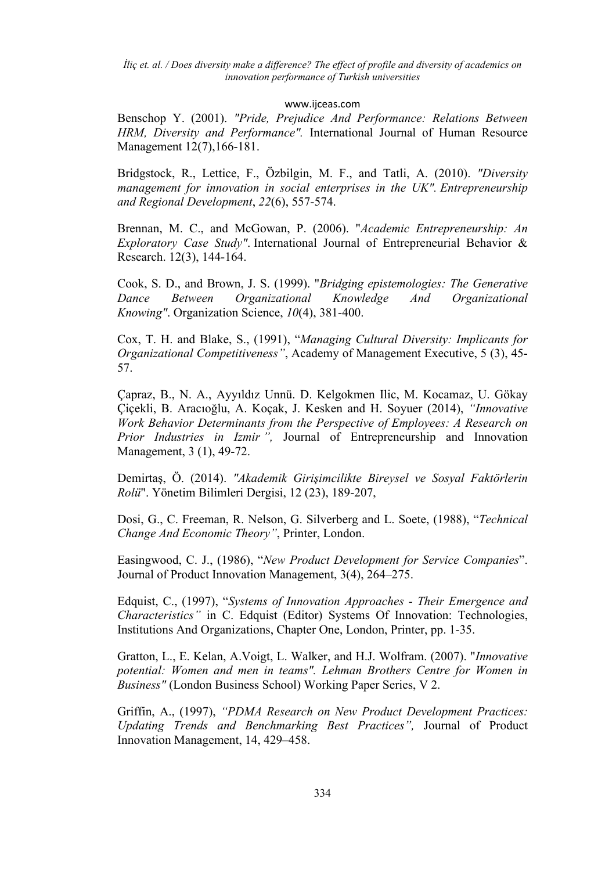### [www.ijceas.com](http://www.ijceas.com/)

Benschop Y. (2001). *"Pride, Prejudice And Performance: Relations Between HRM, Diversity and Performance".* International Journal of Human Resource Management 12(7),166-181.

Bridgstock, R., Lettice, F., Özbilgin, M. F., and Tatli, A. (2010). *"Diversity management for innovation in social enterprises in the UK". Entrepreneurship and Regional Development*, *22*(6), 557-574.

Brennan, M. C., and McGowan, P. (2006). "*Academic Entrepreneurship: An Exploratory Case Study"*. International Journal of Entrepreneurial Behavior & Research. 12(3), 144-164.

Cook, S. D., and Brown, J. S. (1999). "*Bridging epistemologies: The Generative Dance Between Organizational Knowledge And Organizational Knowing"*. Organization Science, *10*(4), 381-400.

Cox, T. H. and Blake, S., (1991), "*Managing Cultural Diversity: Implicants for Organizational Competitiveness"*, Academy of Management Executive, 5 (3), 45- 57.

Çapraz, B., N. A., Ayyıldız Unnü. D. Kelgokmen Ilic, M. Kocamaz, U. Gökay Çiçekli, B. Aracıoğlu, A. Koçak, J. Kesken and H. Soyuer (2014), *"Innovative Work Behavior Determinants from the Perspective of Employees: A Research on Prior Industries in Izmir ",* Journal of Entrepreneurship and Innovation Management, 3 (1), 49-72.

Demirtaş, Ö. (2014). *"Akademik Girişimcilikte Bireysel ve Sosyal Faktörlerin Rolü*". Yönetim Bilimleri Dergisi, 12 (23), 189-207,

Dosi, G., C. Freeman, R. Nelson, G. Silverberg and L. Soete, (1988), "*Technical Change And Economic Theory"*, Printer, London.

Easingwood, C. J., (1986), "*New Product Development for Service Companies*". Journal of Product Innovation Management, 3(4), 264–275.

Edquist, C., (1997), "*Systems of Innovation Approaches - Their Emergence and Characteristics"* in C. Edquist (Editor) Systems Of Innovation: Technologies, Institutions And Organizations, Chapter One, London, Printer, pp. 1-35.

Gratton, L., E. Kelan, A.Voigt, L. Walker, and H.J. Wolfram. (2007). "*Innovative potential: Women and men in teams". Lehman Brothers Centre for Women in Business"* (London Business School) Working Paper Series, V 2.

Griffin, A., (1997), *"PDMA Research on New Product Development Practices: Updating Trends and Benchmarking Best Practices",* Journal of Product Innovation Management, 14, 429–458.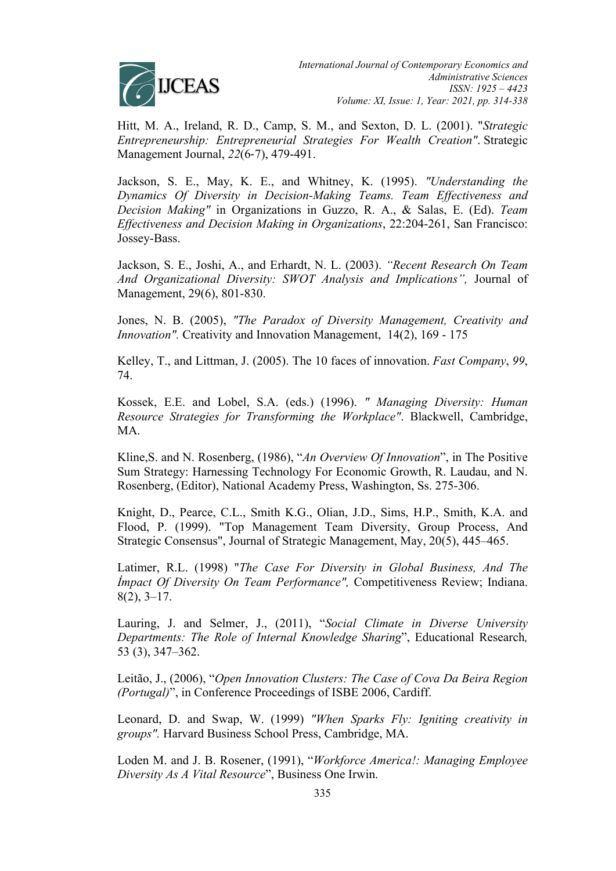

Hitt, M. A., Ireland, R. D., Camp, S. M., and Sexton, D. L. (2001). "*Strategic Entrepreneurship: Entrepreneurial Strategies For Wealth Creation"*. Strategic Management Journal, *22*(6‐7), 479-491.

Jackson, S. E., May, K. E., and Whitney, K. (1995). *"Understanding the Dynamics Of Diversity in Decision-Making Teams. Team Effectiveness and Decision Making"* in Organizations in Guzzo, R. A., & Salas, E. (Ed). *Team Effectiveness and Decision Making in Organizations*, 22:204-261, San Francisco: Jossey-Bass.

Jackson, S. E., Joshi, A., and Erhardt, N. L. (2003). *"Recent Research On Team And Organizational Diversity: SWOT Analysis and Implications",* Journal of Management, 29(6), 801-830.

Jones, N. B. (2005), *"The Paradox of Diversity Management, Creativity and Innovation".* Creativity and Innovation Management, 14(2), 169 - 175

Kelley, T., and Littman, J. (2005). The 10 faces of innovation. *Fast Company*, *99*, 74.

Kossek, E.E. and Lobel, S.A. (eds.) (1996). *" Managing Diversity: Human Resource Strategies for Transforming the Workplace"*. Blackwell, Cambridge, MA.

Kline,S. and N. Rosenberg, (1986), "*An Overview Of Innovation*", in The Positive Sum Strategy: Harnessing Technology For Economic Growth, R. Laudau, and N. Rosenberg, (Editor), National Academy Press, Washington, Ss. 275-306.

Knight, D., Pearce, C.L., Smith K.G., Olian, J.D., Sims, H.P., Smith, K.A. and Flood, P. (1999). "Top Management Team Diversity, Group Process, And Strategic Consensus", Journal of Strategic Management, May, 20(5), 445–465.

Latimer, R.L. (1998) "*The Case For Diversity in Global Business, And The İmpact Of Diversity On Team Performance",* Competitiveness Review; Indiana. 8(2), 3–17.

Lauring, J. and Selmer, J., (2011), "*Social Climate in Diverse University Departments: The Role of Internal Knowledge Sharing*", Educational Research*,* 53 (3), 347–362.

Leitão, J., (2006), "*Open Innovation Clusters: The Case of Cova Da Beira Region (Portugal)*", in Conference Proceedings of ISBE 2006, Cardiff.

Leonard, D. and Swap, W. (1999) *"When Sparks Fly: Igniting creativity in groups".* Harvard Business School Press, Cambridge, MA.

Loden M. and J. B. Rosener, (1991), "*Workforce America!: Managing Employee Diversity As A Vital Resource*", Business One Irwin.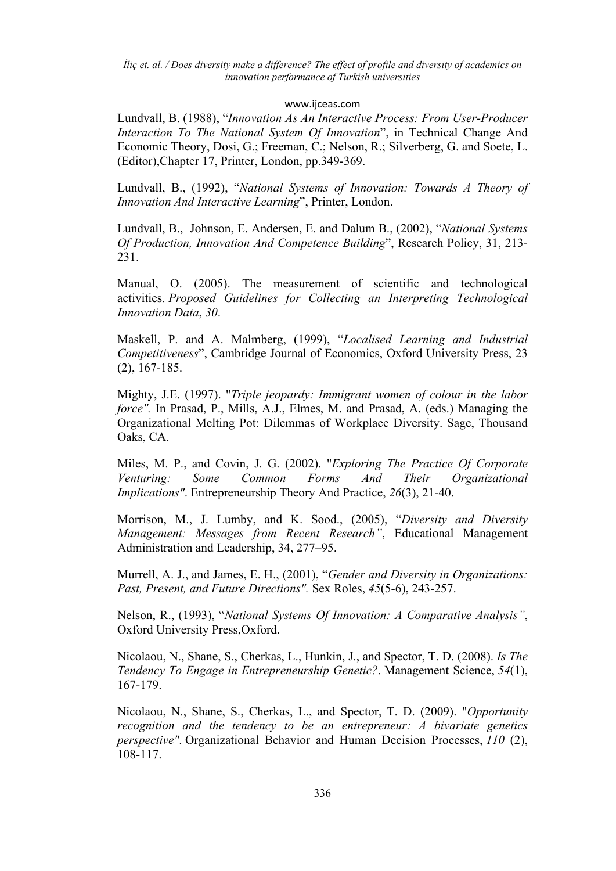### [www.ijceas.com](http://www.ijceas.com/)

Lundvall, B. (1988), "*Innovation As An Interactive Process: From User-Producer Interaction To The National System Of Innovation*", in Technical Change And Economic Theory, Dosi, G.; Freeman, C.; Nelson, R.; Silverberg, G. and Soete, L. (Editor),Chapter 17, Printer, London, pp.349-369.

Lundvall, B., (1992), "*National Systems of Innovation: Towards A Theory of Innovation And Interactive Learning*", Printer, London.

Lundvall, B., Johnson, E. Andersen, E. and Dalum B., (2002), "*National Systems Of Production, Innovation And Competence Building*", Research Policy, 31, 213- 231.

Manual, O. (2005). The measurement of scientific and technological activities. *Proposed Guidelines for Collecting an Interpreting Technological Innovation Data*, *30*.

Maskell, P. and A. Malmberg, (1999), "*Localised Learning and Industrial Competitiveness*", Cambridge Journal of Economics, Oxford University Press, 23 (2), 167-185.

Mighty, J.E. (1997). "*Triple jeopardy: Immigrant women of colour in the labor force".* In Prasad, P., Mills, A.J., Elmes, M. and Prasad, A. (eds.) Managing the Organizational Melting Pot: Dilemmas of Workplace Diversity. Sage, Thousand Oaks, CA.

Miles, M. P., and Covin, J. G. (2002). "*Exploring The Practice Of Corporate Venturing: Some Common Forms And Their Organizational Implications"*. Entrepreneurship Theory And Practice, *26*(3), 21-40.

Morrison, M., J. Lumby, and K. Sood., (2005), "*Diversity and Diversity Management: Messages from Recent Research"*, Educational Management Administration and Leadership, 34, 277–95.

Murrell, A. J., and James, E. H., (2001), "*Gender and Diversity in Organizations: Past, Present, and Future Directions".* Sex Roles, *45*(5-6), 243-257.

Nelson, R., (1993), "*National Systems Of Innovation: A Comparative Analysis"*, Oxford University Press,Oxford.

Nicolaou, N., Shane, S., Cherkas, L., Hunkin, J., and Spector, T. D. (2008). *Is The Tendency To Engage in Entrepreneurship Genetic?*. Management Science, *54*(1), 167-179.

Nicolaou, N., Shane, S., Cherkas, L., and Spector, T. D. (2009). "*Opportunity recognition and the tendency to be an entrepreneur: A bivariate genetics perspective"*. Organizational Behavior and Human Decision Processes, *110* (2), 108-117.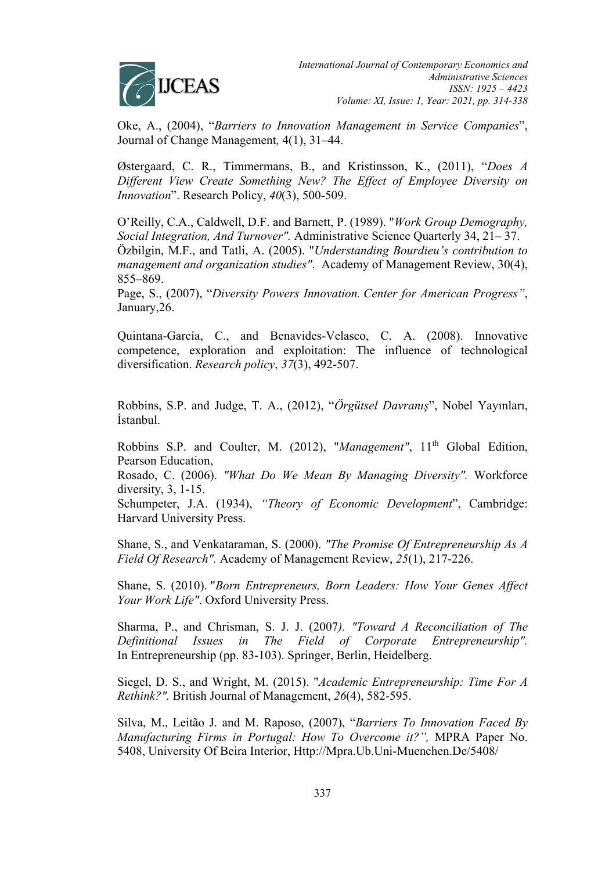

Oke, A., (2004), "*Barriers to Innovation Management in Service Companies*", Journal of Change Management*,* 4(1), 31–44.

Østergaard, C. R., Timmermans, B., and Kristinsson, K., (2011), "*Does A Different View Create Something New? The Effect of Employee Diversity on Innovation*". Research Policy, *40*(3), 500-509.

O'Reilly, C.A., Caldwell, D.F. and Barnett, P. (1989). "*Work Group Demography, Social Integration, And Turnover".* Administrative Science Quarterly 34, 21– 37. Özbilgin, M.F., and Tatli, A. (2005). "*Understanding Bourdieu's contribution to management and organization studies"*. Academy of Management Review, 30(4), 855–869.

Page, S., (2007), "*Diversity Powers Innovation. Center for American Progress"*, January,26.

Quintana-García, C., and Benavides-Velasco, C. A. (2008). Innovative competence, exploration and exploitation: The influence of technological diversification. *Research policy*, *37*(3), 492-507.

Robbins, S.P. and Judge, T. A., (2012), "*Örgütsel Davranış*", Nobel Yayınları, İstanbul.

Robbins S.P. and Coulter, M. (2012), "Management", 11<sup>th</sup> Global Edition, Pearson Education,

Rosado, C. (2006). *"What Do We Mean By Managing Diversity".* Workforce diversity, 3, 1-15.

Schumpeter, J.A. (1934), *"Theory of Economic Development*", Cambridge: Harvard University Press.

Shane, S., and Venkataraman, S. (2000). *"The Promise Of Entrepreneurship As A Field Of Research".* Academy of Management Review, *25*(1), 217-226.

Shane, S. (2010). "*Born Entrepreneurs, Born Leaders: How Your Genes Affect Your Work Life"*. Oxford University Press.

Sharma, P., and Chrisman, S. J. J. (2007*). "Toward A Reconciliation of The Definitional Issues in The Field of Corporate Entrepreneurship".* In Entrepreneurship (pp. 83-103). Springer, Berlin, Heidelberg.

Siegel, D. S., and Wright, M. (2015). "*Academic Entrepreneurship: Time For A Rethink?".* British Journal of Management, *26*(4), 582-595.

Silva, M., Leitão J. and M. Raposo, (2007), "*Barriers To Innovation Faced By Manufacturing Firms in Portugal: How To Overcome it?",* MPRA Paper No. 5408, University Of Beira Interior, Http://Mpra.Ub.Uni-Muenchen.De/5408/